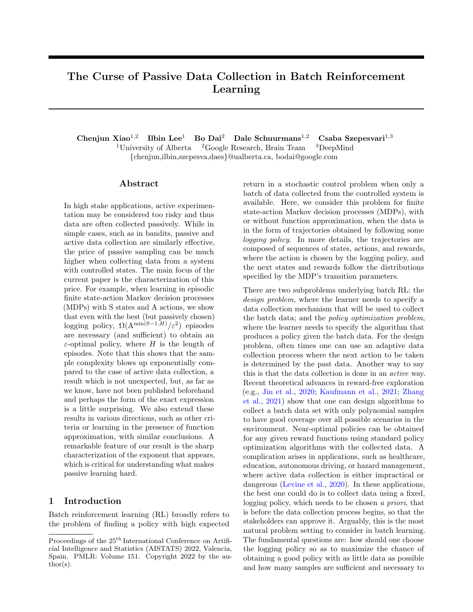# The Curse of Passive Data Collection in Batch Reinforcement Learning

Chenjun Xiao<sup>1,2</sup> Ilbin Lee<sup>1</sup> Bo Dai<sup>2</sup> Dale Schuurmans<sup>1,2</sup> Csaba Szepesvari<sup>1,3</sup> <sup>1</sup>University of Alberta  ${}^{2}$ Google Research, Brain Team  ${}^{3}$ DeepMind {chenjun,ilbin,szepesva,daes}@ualberta.ca, bodai@google.com

#### ${\rm Abstract}$

In high stake applications, active experimentation may be considered too risky and thus data are often collected passively. While in simple cases, such as in bandits, passive and active data collection are similarly effective, the price of passive sampling can be much higher when collecting data from a system with controlled states. The main focus of the current paper is the characterization of this price. For example, when learning in episodic finite state-action Markov decision processes (MDPs) with S states and A actions, we show that even with the best (but passively chosen) logging policy,  $\Omega(\mathrm{A}^{\min(S-1,H)}/\varepsilon^2)$  episodes are necessary (and sufficient) to obtain an  $\varepsilon$ -optimal policy, where H is the length of episodes. Note that this shows that the sample complexity blows up exponentially compared to the case of active data collection, a result which is not unexpected, but, as far as we know, have not been published beforehand and perhaps the form of the exact expression is a little surprising. We also extend these results in various directions, such as other criteria or learning in the presence of function approximation, with similar conclusions. A remarkable feature of our result is the sharp characterization of the exponent that appears, which is critical for understanding what makes passive learning hard.

## 1 Introduction

Batch reinforcement learning (RL) broadly refers to the problem of finding a policy with high expected return in a stochastic control problem when only a batch of data collected from the controlled system is available. Here, we consider this problem for finite state-action Markov decision processes (MDPs), with or without function approximation, when the data is in the form of trajectories obtained by following some logging policy. In more details, the trajectories are composed of sequences of states, actions, and rewards, where the action is chosen by the logging policy, and the next states and rewards follow the distributions specified by the MDP's transition parameters.

There are two subproblems underlying batch RL: the design problem, where the learner needs to specify a data collection mechanism that will be used to collect the batch data; and the policy optimization problem, where the learner needs to specify the algorithm that produces a policy given the batch data. For the design problem, often times one can use an adaptive data collection process where the next action to be taken is determined by the past data. Another way to say this is that the data collection is done in an active way. Recent theoretical advances in reward-free exploration (e.g., [Jin et al.,](#page-8-0) [2020;](#page-8-0) [Kaufmann et al.,](#page-9-0) [2021;](#page-9-0) [Zhang](#page-10-0) [et al.,](#page-10-0) [2021\)](#page-10-0) show that one can design algorithms to collect a batch data set with only polynomial samples to have good coverage over all possible scenarios in the environment. Near-optimal policies can be obtained for any given reward functions using standard policy optimization algorithms with the collected data. A complication arises in applications, such as healthcare, education, autonomous driving, or hazard management, where active data collection is either impractical or dangerous [\(Levine et al.,](#page-9-1) [2020\)](#page-9-1). In these applications, the best one could do is to collect data using a fixed, logging policy, which needs to be chosen a priori, that is before the data collection process begins, so that the stakeholders can approve it. Arguably, this is the most natural problem setting to consider in batch learning. The fundamental questions are: how should one choose the logging policy so as to maximize the chance of obtaining a good policy with as little data as possible and how many samples are sufficient and necessary to

Proceedings of the  $25<sup>th</sup>$  International Conference on Artificial Intelligence and Statistics (AISTATS) 2022, Valencia, Spain. PMLR: Volume 151. Copyright 2022 by the author(s).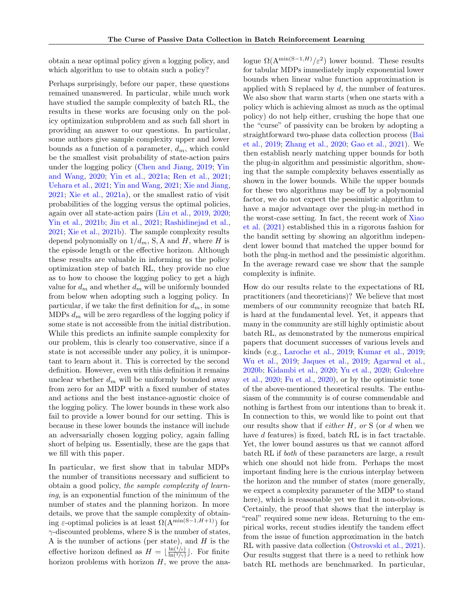obtain a near optimal policy given a logging policy, and which algorithm to use to obtain such a policy?

Perhaps surprisingly, before our paper, these questions remained unanswered. In particular, while much work have studied the sample complexity of batch RL, the results in these works are focusing only on the policy optimization subproblem and as such fall short in providing an answer to our questions. In particular, some authors give sample complexity upper and lower bounds as a function of a parameter,  $d_m$ , which could be the smallest visit probability of state-action pairs under the logging policy [\(Chen and Jiang,](#page-8-1) [2019;](#page-8-1) [Yin](#page-10-1) [and Wang,](#page-10-1) [2020;](#page-10-1) [Yin et al.,](#page-10-2) [2021a;](#page-10-2) [Ren et al.,](#page-9-2) [2021;](#page-9-2) [Uehara et al.,](#page-9-3) [2021;](#page-9-3) [Yin and Wang,](#page-10-3) [2021;](#page-10-3) [Xie and Jiang,](#page-10-4) [2021;](#page-10-4) [Xie et al.,](#page-10-5) [2021a\)](#page-10-5), or the smallest ratio of visit probabilities of the logging versus the optimal policies, again over all state-action pairs [\(Liu et al.,](#page-9-4) [2019,](#page-9-4) [2020;](#page-9-5) [Yin et al.,](#page-10-6) [2021b;](#page-10-6) [Jin et al.,](#page-9-6) [2021;](#page-9-6) [Rashidinejad et al.,](#page-9-7) [2021;](#page-9-7) [Xie et al.,](#page-10-7) [2021b\)](#page-10-7). The sample complexity results depend polynomially on  $1/d_m$ , S, A and H, where H is the episode length or the effective horizon. Although these results are valuable in informing us the policy optimization step of batch RL, they provide no clue as to how to choose the logging policy to get a high value for  $d_m$  and whether  $d_m$  will be uniformly bounded from below when adopting such a logging policy. In particular, if we take the first definition for  $d_m$ , in some MDPs  $d_m$  will be zero regardless of the logging policy if some state is not accessible from the initial distribution. While this predicts an infinite sample complexity for our problem, this is clearly too conservative, since if a state is not accessible under any policy, it is unimportant to learn about it. This is corrected by the second definition. However, even with this definition it remains unclear whether  $d_m$  will be uniformly bounded away from zero for an MDP with a fixed number of states and actions and the best instance-agnostic choice of the logging policy. The lower bounds in these work also fail to provide a lower bound for our setting. This is because in these lower bounds the instance will include an adversarially chosen logging policy, again falling short of helping us. Essentially, these are the gaps that we fill with this paper.

In particular, we first show that in tabular MDPs the number of transitions necessary and sufficient to obtain a good policy, the sample complexity of learning, is an exponential function of the minimum of the number of states and the planning horizon. In more details, we prove that the sample complexity of obtaining  $\varepsilon$ -optimal policies is at least  $\Omega(A^{\min(S-1,H+1)})$  for  $\gamma$ -discounted problems, where S is the number of states, A is the number of actions (per state), and  $H$  is the effective horizon defined as  $H = \left[\frac{\ln(1/\varepsilon)}{\ln(1/\varepsilon)}\right]$  $\frac{\ln(1/\varepsilon)}{\ln(1/\gamma)}$ . For finite horizon problems with horizon  $H$ , we prove the ana-

logue  $\Omega(\mathrm{A}^{\min(S-1,H)}/\varepsilon^2)$  lower bound. These results for tabular MDPs immediately imply exponential lower bounds when linear value function approximation is applied with S replaced by  $d$ , the number of features. We also show that warm starts (when one starts with a policy which is achieving almost as much as the optimal policy) do not help either, crushing the hope that one the "curse" of passivity can be broken by adopting a straightforward two-phase data collection process [\(Bai](#page-8-2) [et al.,](#page-8-2) [2019;](#page-8-2) [Zhang et al.,](#page-10-8) [2020;](#page-10-8) [Gao et al.,](#page-8-3) [2021\)](#page-8-3). We then establish nearly matching upper bounds for both the plug-in algorithm and pessimistic algorithm, showing that the sample complexity behaves essentially as shown in the lower bounds. While the upper bounds for these two algorithms may be off by a polynomial factor, we do not expect the pessimistic algorithm to have a major advantage over the plug-in method in the worst-case setting. In fact, the recent work of [Xiao](#page-9-8) [et al.](#page-9-8) [\(2021\)](#page-9-8) established this in a rigorous fashion for the bandit setting by showing an algorithm independent lower bound that matched the upper bound for both the plug-in method and the pessimistic algorithm. In the average reward case we show that the sample complexity is infinite.

How do our results relate to the expectations of RL practitioners (and theoreticians)? We believe that most members of our community recognize that batch RL is hard at the fundamental level. Yet, it appears that many in the community are still highly optimistic about batch RL, as demonstrated by the numerous empirical papers that document successes of various levels and kinds (e.g., [Laroche et al.,](#page-9-9) [2019;](#page-9-9) [Kumar et al.,](#page-9-10) [2019;](#page-9-10) [Wu et al.,](#page-9-11) [2019;](#page-9-11) [Jaques et al.,](#page-8-4) [2019;](#page-8-4) [Agarwal et al.,](#page-8-5) [2020b;](#page-8-5) [Kidambi et al.,](#page-9-12) [2020;](#page-9-12) [Yu et al.,](#page-10-9) [2020;](#page-10-9) [Gulcehre](#page-8-6) [et al.,](#page-8-6) [2020;](#page-8-6) [Fu et al.,](#page-8-7) [2020\)](#page-8-7), or by the optimistic tone of the above-mentioned theoretical results. The enthusiasm of the community is of course commendable and nothing is farthest from our intentions than to break it. In connection to this, we would like to point out that our results show that if *either H*, or S (or  $d$  when we have d features) is fixed, batch RL is in fact tractable. Yet, the lower bound assures us that we cannot afford batch RL if both of these parameters are large, a result which one should not hide from. Perhaps the most important finding here is the curious interplay between the horizon and the number of states (more generally, we expect a complexity parameter of the MDP to stand here), which is reasonable yet we find it non-obvious. Certainly, the proof that shows that the interplay is "real" required some new ideas. Returning to the empirical works, recent studies identify the tandem effect from the issue of function approximation in the batch RL with passive data collection [\(Ostrovski et al.,](#page-9-13) [2021\)](#page-9-13). Our results suggest that there is a need to rethink how batch RL methods are benchmarked. In particular,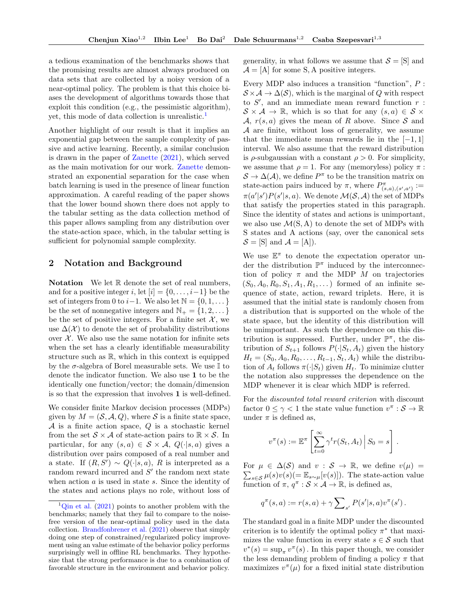a tedious examination of the benchmarks shows that the promising results are almost always produced on data sets that are collected by a noisy version of a near-optimal policy. The problem is that this choice biases the development of algorithms towards those that exploit this condition (e.g., the pessimistic algorithm), yet, this mode of data collection is unrealistic.[1](#page-2-0)

Another highlight of our result is that it implies an exponential gap between the sample complexity of passive and active learning. Recently, a similar conclusion is drawn in the paper of [Zanette](#page-10-10) [\(2021\)](#page-10-10), which served as the main motivation for our work. [Zanette](#page-10-10) demonstrated an exponential separation for the case when batch learning is used in the presence of linear function approximation. A careful reading of the paper shows that the lower bound shown there does not apply to the tabular setting as the data collection method of this paper allows sampling from any distribution over the state-action space, which, in the tabular setting is sufficient for polynomial sample complexity.

## 2 Notation and Background

**Notation** We let  $\mathbb R$  denote the set of real numbers, and for a positive integer i, let  $[i] = \{0, \ldots, i-1\}$  be the set of integers from 0 to  $i-1$ . We also let  $\mathbb{N} = \{0, 1, \dots\}$ be the set of nonnegative integers and  $\mathbb{N}_+ = \{1, 2, \dots\}$ be the set of positive integers. For a finite set  $\mathcal{X}$ , we use  $\Delta(\mathcal{X})$  to denote the set of probability distributions over  $\mathcal{X}$ . We also use the same notation for infinite sets when the set has a clearly identifiable measurability structure such as  $\mathbb{R}$ , which in this context is equipped by the  $\sigma$ -algebra of Borel measurable sets. We use  $\mathbb I$  to denote the indicator function. We also use 1 to be the identically one function/vector; the domain/dimension is so that the expression that involves 1 is well-defined.

We consider finite Markov decision processes (MDPs) given by  $M = (\mathcal{S}, \mathcal{A}, Q)$ , where  $\mathcal S$  is a finite state space,  $\mathcal A$  is a finite action space,  $\mathcal Q$  is a stochastic kernel from the set  $S \times A$  of state-action pairs to  $\mathbb{R} \times S$ . In particular, for any  $(s, a) \in S \times A$ ,  $Q(\cdot | s, a)$  gives a distribution over pairs composed of a real number and a state. If  $(R, S') \sim Q(\cdot | s, a)$ , R is interpreted as a random reward incurred and  $S'$  the random next state when action a is used in state s. Since the identity of the states and actions plays no role, without loss of generality, in what follows we assume that  $\mathcal{S} = [S]$  and  $A = [A]$  for some S, A positive integers.

Every MDP also induces a transition "function", P :  $S \times A \rightarrow \Delta(S)$ , which is the marginal of Q with respect to  $S'$ , and an immediate mean reward function  $r$ :  $S \times A \rightarrow \mathbb{R}$ , which is so that for any  $(s, a) \in S \times$ A,  $r(s, a)$  gives the mean of R above. Since S and A are finite, without loss of generality, we assume that the immediate mean rewards lie in the  $[-1, 1]$ interval. We also assume that the reward distribution is  $\rho$ -subgaussian with a constant  $\rho > 0$ . For simplicity, we assume that  $\rho = 1$ . For any (memoryless) policy  $\pi$ :  $S \to \Delta(\mathcal{A})$ , we define  $P^{\pi}$  to be the transition matrix on state-action pairs induced by  $\pi$ , where  $P^{\pi}_{(s,a),(s',a')} :=$  $\pi(a'|s')P(s'|s,a)$ . We denote  $\mathcal{M}(\mathcal{S},\mathcal{A})$  the set of MDPs that satisfy the properties stated in this paragraph. Since the identity of states and actions is unimportant, we also use  $\mathcal{M}(S, A)$  to denote the set of MDPs with S states and A actions (say, over the canonical sets  $S = [S]$  and  $\mathcal{A} = [A]$ .

We use  $\mathbb{E}^{\pi}$  to denote the expectation operator under the distribution  $\mathbb{P}^{\pi}$  induced by the interconnection of policy  $\pi$  and the MDP M on trajectories  $(S_0, A_0, R_0, S_1, A_1, R_1, \dots)$  formed of an infinite sequence of state, action, reward triplets. Here, it is assumed that the initial state is randomly chosen from a distribution that is supported on the whole of the state space, but the identity of this distribution will be unimportant. As such the dependence on this distribution is suppressed. Further, under  $\mathbb{P}^{\pi}$ , the distribution of  $S_{t+1}$  follows  $P(\cdot|S_t, A_t)$  given the history  $H_t = (S_0, A_0, R_0, \ldots, R_{t-1}, S_t, A_t)$  while the distribution of  $A_t$  follows  $\pi(\cdot|S_t)$  given  $H_t$ . To minimize clutter the notation also suppresses the dependence on the MDP whenever it is clear which MDP is referred.

For the discounted total reward criterion with discount factor  $0 \leq \gamma < 1$  the state value function  $v^{\pi}: \mathcal{S} \to \mathbb{R}$ under  $\pi$  is defined as,

$$
v^{\pi}(s) := \mathbb{E}^{\pi} \left[ \sum_{t=0}^{\infty} \gamma^{t} r(S_{t}, A_{t}) \, \Big| \, S_{0} = s \right].
$$

For  $\mu \in \Delta(\mathcal{S})$  and  $v : \mathcal{S} \to \mathbb{R}$ , we define  $v(\mu) =$  $\sum_{s \in \mathcal{S}} \mu(s)v(s) = \mathbb{E}_{s \sim \mu}[v(s)]$ . The state-action value function of  $\pi$ ,  $q^{\pi}$  :  $S \times A \rightarrow \mathbb{R}$ , is defined as,

$$
q^{\pi}(s, a) := r(s, a) + \gamma \sum_{s'} P(s'|s, a) v^{\pi}(s') .
$$

The standard goal in a finite MDP under the discounted criterion is to identify the optimal policy  $\pi^*$  that maximizes the value function in every state  $s \in \mathcal{S}$  such that  $v^*(s) = \sup_{\pi} v^{\pi}(s)$ . In this paper though, we consider the less demanding problem of finding a policy  $\pi$  that maximizes  $v^{\pi}(\mu)$  for a fixed initial state distribution

<span id="page-2-0"></span> $1$ [Qin et al.](#page-9-14) [\(2021\)](#page-9-14) points to another problem with the benchmarks; namely that they fail to compare to the noisefree version of the near-optimal policy used in the data collection. [Brandfonbrener et al.](#page-8-8) [\(2021\)](#page-8-8) observe that simply doing one step of constrained/regularized policy improvement using an value estimate of the behavior policy performs surprisingly well in offline RL benchmarks. They hypothesize that the strong performance is due to a combination of favorable structure in the environment and behavior policy.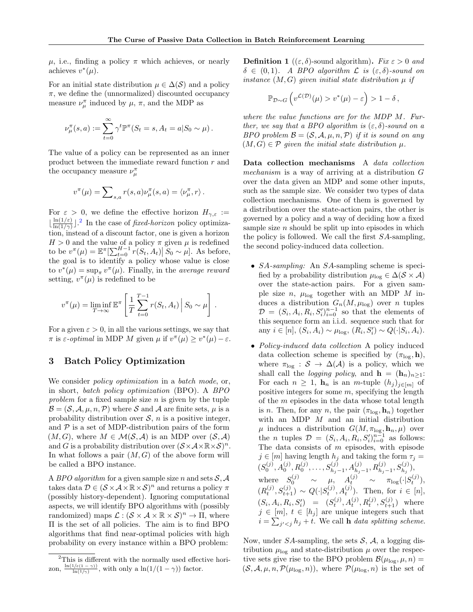.

 $\mu$ , i.e., finding a policy  $\pi$  which achieves, or nearly achieves  $v^*(\mu)$ .

For an initial state distribution  $\mu \in \Delta(\mathcal{S})$  and a policy  $\pi$ , we define the (unnormalized) discounted occupancy measure  $\nu_{\mu}^{\pi}$  induced by  $\mu$ ,  $\pi$ , and the MDP as

$$
\nu_{\mu}^{\pi}(s, a) := \sum_{t=0}^{\infty} \gamma^t \mathbb{P}^{\pi}(S_t = s, A_t = a | S_0 \sim \mu).
$$

The value of a policy can be represented as an inner product between the immediate reward function  $r$  and the occupancy measure  $\nu_\mu^\pi$ 

$$
v^{\pi}(\mu) = \sum_{s,a} r(s,a) \nu_{\mu}^{\pi}(s,a) = \langle \nu_{\mu}^{\pi}, r \rangle.
$$

For  $\varepsilon > 0$ , we define the effective horizon  $H_{\gamma,\varepsilon}$  :=  $\ln(1/\varepsilon)$  $\frac{\ln(1/\varepsilon)}{\ln(1/\gamma)}$ . In the case of *fixed-horizon* policy optimization, instead of a discount factor, one is given a horizon  $H > 0$  and the value of a policy  $\pi$  given  $\mu$  is redefined to be  $v^{\pi}(\mu) = \mathbb{E}^{\pi}[\sum_{t=0}^{H-1} r(S_t, A_t) | S_0 \sim \mu]$ . As before, the goal is to identify a policy whose value is close to  $v^*(\mu) = \sup_{\pi} v^{\pi}(\mu)$ . Finally, in the *average reward* setting,  $v^{\pi}(\mu)$  is redefined to be

$$
v^{\pi}(\mu) = \liminf_{T \to \infty} \mathbb{E}^{\pi} \left[ \frac{1}{T} \sum_{t=0}^{T-1} r(S_t, A_t) \, \middle| \, S_0 \sim \mu \right]
$$

For a given  $\varepsilon > 0$ , in all the various settings, we say that  $\pi$  is  $\varepsilon$ -*optimal* in MDP M given  $\mu$  if  $v^{\pi}(\mu) \geq v^*(\mu) - \varepsilon$ .

#### 3 Batch Policy Optimization

We consider *policy optimization* in a *batch mode*, or, in short, batch policy optimization (BPO). A BPO problem for a fixed sample size  $n$  is given by the tuple  $\mathcal{B} = (\mathcal{S}, \mathcal{A}, \mu, n, \mathcal{P})$  where S and A are finite sets,  $\mu$  is a probability distribution over  $S$ , n is a positive integer, and  $P$  is a set of MDP-distribution pairs of the form  $(M, G)$ , where  $M \in \mathcal{M}(\mathcal{S}, \mathcal{A})$  is an MDP over  $(\mathcal{S}, \mathcal{A})$ and G is a probability distribution over  $(S \times A \times \mathbb{R} \times S)^n$ . In what follows a pair  $(M, G)$  of the above form will be called a BPO instance.

A BPO algorithm for a given sample size n and sets  $S, A$ takes data  $\mathcal{D} \in (\mathcal{S} \times \mathcal{A} \times \mathbb{R} \times \mathcal{S})^n$  and returns a policy  $\pi$ (possibly history-dependent). Ignoring computational aspects, we will identify BPO algorithms with (possibly randomized) maps  $\mathcal{L}: (\mathcal{S} \times \mathcal{A} \times \mathbb{R} \times \mathcal{S})^n \to \Pi$ , where Π is the set of all policies. The aim is to find BPO algorithms that find near-optimal policies with high probability on every instance within a BPO problem:

**Definition 1** (( $\varepsilon$ ,  $\delta$ )-sound algorithm). Fix  $\varepsilon > 0$  and  $\delta \in (0,1)$ . A BPO algorithm  $\mathcal L$  is  $(\varepsilon, \delta)$ -sound on instance  $(M, G)$  given initial state distribution  $\mu$  if

$$
\mathbb{P}_{\mathcal{D}\sim G}\left(v^{\mathcal{L}(\mathcal{D})}(\mu) > v^*(\mu) - \varepsilon\right) > 1 - \delta,
$$

where the value functions are for the MDP M. Further, we say that a BPO algorithm is  $(\varepsilon, \delta)$ -sound on a BPO problem  $\mathcal{B} = (\mathcal{S}, \mathcal{A}, \mu, n, \mathcal{P})$  if it is sound on any  $(M, G) \in \mathcal{P}$  given the initial state distribution  $\mu$ .

Data collection mechanisms A data collection mechanism is a way of arriving at a distribution G over the data given an MDP and some other inputs, such as the sample size. We consider two types of data collection mechanisms. One of them is governed by a distribution over the state-action pairs, the other is governed by a policy and a way of deciding how a fixed sample size  $n$  should be split up into episodes in which the policy is followed. We call the first SA-sampling, the second policy-induced data collection.

- *SA-sampling:* An *SA*-sampling scheme is specified by a probability distribution  $\mu_{\text{log}} \in \Delta(\mathcal{S} \times \mathcal{A})$ over the state-action pairs. For a given sample size n,  $\mu_{\text{log}}$  together with an MDP M induces a distribution  $G_n(M, \mu_{\text{log}})$  over n tuples  $\mathcal{D} = (S_i, A_i, R_i, S_i')_{i=0}^{n-1}$  so that the elements of this sequence form an i.i.d. sequence such that for any  $i \in [n], (S_i, A_i) \sim \mu_{\log}, (R_i, S'_i) \sim Q(\cdot | S_i, A_i).$
- *Policy-induced data collection* A policy induced data collection scheme is specified by  $(\pi_{\text{log}}, h)$ , where  $\pi_{\text{log}} : \mathcal{S} \to \Delta(\mathcal{A})$  is a policy, which we shall call the *logging policy*, and  $\mathbf{h} = (\mathbf{h}_n)_{n \geq 1}$ : For each  $n \geq 1$ ,  $\mathbf{h}_n$  is an *m*-tuple  $(h_i)_{i \in [m]}$  of positive integers for some  $m$ , specifying the length of the  $m$  episodes in the data whose total length is *n*. Then, for any *n*, the pair  $(\pi_{\log}, \mathbf{h}_n)$  together with an MDP  $M$  and an initial distribution  $\mu$  induces a distribution  $G(M, \pi_{\log_2} \mathbf{h}_n, \mu)$  over the *n* tuples  $\mathcal{D} = (S_i, A_i, R_i, S_i')_{i=0}^{n-1}$  as follows: The data consists of  $m$  episodes, with episode  $j \in [m]$  having length  $h_j$  and taking the form  $\tau_j =$  $(S_0^{(j)}, A_0^{(j)}, R_0^{(j)}, \ldots, S_{h_j-1}^{(j)}, A_{h_j-1}^{(j)}, R_{h_j-1}^{(j)}, S_{h_j}^{(j)}),$ where  $S_0^{(j)} \sim \mu$ ,  $A_t^{(j)} \sim \pi_{\log}(\cdot | S_t^{(j)})$ ,  $(R_t^{(j)}, S_{t+1}^{(j)}) \sim Q(\cdot | S_t^{(j)}, A_t^{(j)})$ . Then, for  $i \in [n]$ ,  $(S_i, A_i, R_i, S'_i) = (S_t^{(j)}, A_t^{(j)}, R_t^{(j)}, S_{t+1}^{(j)})$  where  $j \in [m], t \in [h_j]$  are unique integers such that  $i = \sum_{j' < j} h_j + t$ . We call **h** data splitting scheme.

Now, under  $SA$ -sampling, the sets  $S$ ,  $A$ , a logging distribution  $\mu_{\text{log}}$  and state-distribution  $\mu$  over the respective sets give rise to the BPO problem  $\mathcal{B}(\mu_{\text{log}}, \mu, n) =$  $(S, \mathcal{A}, \mu, n, \mathcal{P}(\mu_{\log}, n))$ , where  $\mathcal{P}(\mu_{\log}, n)$  is the set of

<span id="page-3-0"></span><sup>&</sup>lt;sup>2</sup>This is different with the normally used effective horizon,  $\frac{\ln(1/\varepsilon(1-\gamma))}{\ln(1/\gamma)}$ , with only a  $\ln(1/(1-\gamma))$  factor.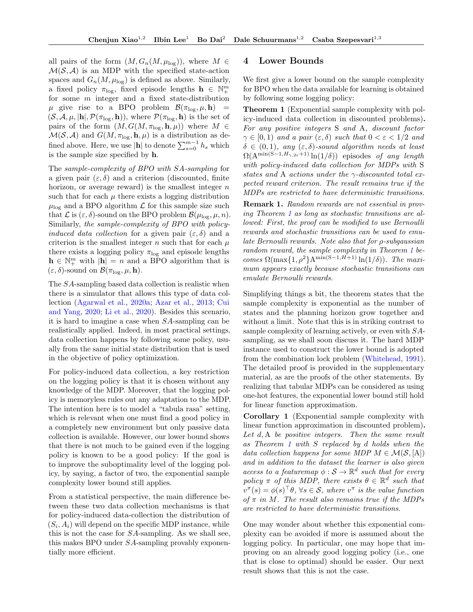all pairs of the form  $(M, G_n(M, \mu_{\text{log}}))$ , where  $M \in$  $\mathcal{M}(\mathcal{S}, \mathcal{A})$  is an MDP with the specified state-action spaces and  $G_n(M, \mu_{\text{log}})$  is defined as above. Similarly, a fixed policy  $\pi_{\text{log}}$ , fixed episode lengths  $\mathbf{h} \in \mathbb{N}_{+}^{m}$ for some  $m$  integer and a fixed state-distribution  $\mu$  give rise to a BPO problem  $\mathcal{B}(\pi_{\text{log}}, \mu, h)$  =  $(S, \mathcal{A}, \mu, |\mathbf{h}|, \mathcal{P}(\pi_{\log}, \mathbf{h}))$ , where  $\mathcal{P}(\pi_{\log}, \mathbf{h})$  is the set of pairs of the form  $(M, G(M, \pi_{\log}, \mathbf{h}, \mu))$  where  $M \in$  $\mathcal{M}(\mathcal{S}, \mathcal{A})$  and  $G(M, \pi_{\log}, \mathbf{h}, \mu)$  is a distribution as defined above. Here, we use  $|\mathbf{h}|$  to denote  $\sum_{s=0}^{m-1} h_s$  which is the sample size specified by h.

The sample-complexity of BPO with SA-sampling for a given pair  $(\varepsilon, \delta)$  and a criterion (discounted, finite horizon, or average reward) is the smallest integer  $n$ such that for each  $\mu$  there exists a logging distribution  $\mu_{\text{log}}$  and a BPO algorithm  $\mathcal L$  for this sample size such that  $\mathcal L$  is  $(\varepsilon, \delta)$ -sound on the BPO problem  $\mathcal B(\mu_{\log}, \mu, n)$ . Similarly, the sample-complexity of BPO with policyinduced data collection for a given pair  $(\varepsilon, \delta)$  and a criterion is the smallest integer n such that for each  $\mu$ there exists a logging policy  $\pi_{\text{log}}$  and episode lengths  $\mathbf{h} \in \mathbb{N}_{+}^{m}$  with  $|\mathbf{h}| = n$  and a BPO algorithm that is  $(\varepsilon, \delta)$ -sound on  $\mathcal{B}(\pi_{\log}, \mu, \mathbf{h}).$ 

The SA-sampling based data collection is realistic when there is a simulator that allows this type of data collection [\(Agarwal et al.,](#page-8-9) [2020a;](#page-8-9) [Azar et al.,](#page-8-10) [2013;](#page-8-10) [Cui](#page-8-11) [and Yang,](#page-8-11) [2020;](#page-8-11) [Li et al.,](#page-9-15) [2020\)](#page-9-15). Besides this scenario, it is hard to imagine a case when SA-sampling can be realistically applied. Indeed, in most practical settings, data collection happens by following some policy, usually from the same initial state distribution that is used in the objective of policy optimization.

For policy-induced data collection, a key restriction on the logging policy is that it is chosen without any knowledge of the MDP. Moreover, that the logging policy is memoryless rules out any adaptation to the MDP. The intention here is to model a "tabula rasa" setting, which is relevant when one must find a good policy in a completely new environment but only passive data collection is available. However, our lower bound shows that there is not much to be gained even if the logging policy is known to be a good policy: If the goal is to improve the suboptimality level of the logging policy, by saying, a factor of two, the exponential sample complexity lower bound still applies.

From a statistical perspective, the main difference between these two data collection mechanisms is that for policy-induced data-collection the distribution of  $(S_i, A_i)$  will depend on the specific MDP instance, while this is not the case for SA-sampling. As we shall see, this makes BPO under SA-sampling provably exponentially more efficient.

#### 4 Lower Bounds

We first give a lower bound on the sample complexity for BPO when the data available for learning is obtained by following some logging policy:

<span id="page-4-0"></span>Theorem 1 (Exponential sample complexity with policy-induced data collection in discounted problems). For any positive integers S and A, discount factor  $\gamma \in [0, 1)$  and a pair  $(\varepsilon, \delta)$  such that  $0 < \varepsilon < 1/2$  and  $\delta \in (0,1)$ , any  $(\varepsilon, \delta)$ -sound algorithm needs at least  $\Omega(A^{\min(S-1,H_{\gamma,2\varepsilon}+1)}\ln(1/\delta))$  episodes of any length with policy-induced data collection for MDPs with S states and A actions under the  $\gamma$ -discounted total expected reward criterion. The result remains true if the MDPs are restricted to have deterministic transitions.

<span id="page-4-1"></span>Remark 1. Random rewards are not essential in proving Theorem [1](#page-4-0) as long as stochastic transitions are allowed: First, the proof can be modified to use Bernoulli rewards and stochastic transitions can be used to emulate Bernoulli rewards. Note also that for ρ-subgaussian random reward, the sample complexity in Theorem [1](#page-4-0) becomes  $\Omega(\max\{1,\rho^2\}A^{\min(S-1,H+1)}\ln(1/\delta))$ . The maximum appears exactly because stochastic transitions can emulate Bernoulli rewards.

Simplifying things a bit, the theorem states that the sample complexity is exponential as the number of states and the planning horizon grow together and without a limit. Note that this is in striking contrast to sample complexity of learning actively, or even with SAsampling, as we shall soon discuss it. The hard MDP instance used to construct the lower bound is adopted from the combination lock problem [\(Whitehead,](#page-9-16) [1991\)](#page-9-16). The detailed proof is provided in the supplementary material, as are the proofs of the other statements. By realizing that tabular MDPs can be considered as using one-hot features, the exponential lower bound still hold for linear function approximation.

<span id="page-4-2"></span>Corollary 1 (Exponential sample complexity with linear function approximation in discounted problem). Let d, A be positive integers. Then the same result as Theorem [1](#page-4-0) with S replaced by d holds when the data collection happens for some MDP  $M \in \mathcal{M}(\mathcal{S}, [A])$ and in addition to the dataset the learner is also given access to a feature map  $\phi : \mathcal{S} \to \mathbb{R}^d$  such that for every policy  $\pi$  of this MDP, there exists  $\theta \in \mathbb{R}^d$  such that  $v^{\pi}(s) = \phi(s)^{\top} \theta$ ,  $\forall s \in \mathcal{S}$ , where  $v^{\pi}$  is the value function of  $\pi$  in M. The result also remains true if the MDPs are restricted to have deterministic transitions.

<span id="page-4-3"></span>One may wonder about whether this exponential complexity can be avoided if more is assumed about the logging policy. In particular, one may hope that improving on an already good logging policy (i.e., one that is close to optimal) should be easier. Our next result shows that this is not the case.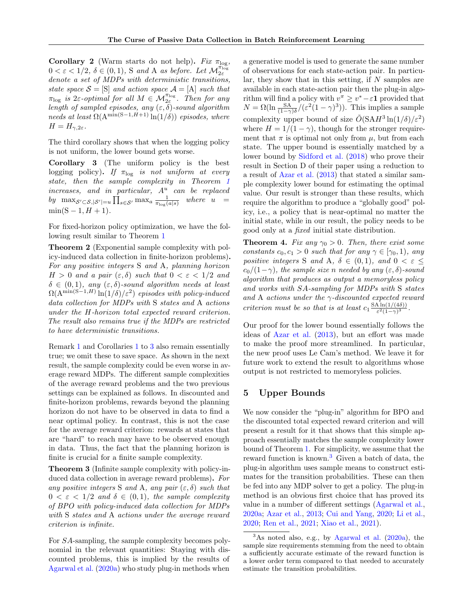Corollary 2 (Warm starts do not help). Fix  $\pi_{\log}$ ,  $0 < \varepsilon < 1/2$ ,  $\delta \in (0,1)$ , S and A as before. Let  $\mathcal{M}_{2\varepsilon}^{\pi_{\log}}$ denote a set of MDPs with deterministic transitions, state space  $S = [S]$  and action space  $A = [A]$  such that  $\pi_{\log}$  is 2 $\varepsilon$ -optimal for all  $M \in \mathcal{M}_{2\varepsilon}^{\pi_{\log}}$ . Then for any length of sampled episodes, any  $(\varepsilon, \delta)$ -sound algorithm needs at least  $\Omega(\mathrm{A}^{\min(S-1,H+1)}\ln(1/\delta))$  episodes, where  $H = H_{\gamma,2\varepsilon}.$ 

The third corollary shows that when the logging policy is not uniform, the lower bound gets worse.

<span id="page-5-0"></span>Corollary 3 (The uniform policy is the best logging policy). If  $\pi_{\text{log}}$  is not uniform at every state, then the sample complexity in Theorem [1](#page-4-0)  $increases$ , and in particular,  $A^u$  can be replaced by  $\max_{S' \subset S, |S'|=u} \prod_{s \in S'} \max_a \frac{1}{\pi_{\log}(a|s)}$  where  $u =$  $min(S - 1, H + 1).$ 

For fixed-horizon policy optimization, we have the following result similar to Theorem [1](#page-4-0)

<span id="page-5-2"></span>Theorem 2 (Exponential sample complexity with policy-induced data collection in finite-horizon problems). For any positive integers S and A, planning horizon  $H > 0$  and a pair  $(\varepsilon, \delta)$  such that  $0 < \varepsilon < 1/2$  and  $\delta \in (0,1)$ , any  $(\varepsilon, \delta)$ -sound algorithm needs at least  $\Omega(\Lambda^{\min(S-1,H)}\ln(1/\delta)/\varepsilon^2)$  episodes with policy-induced data collection for MDPs with S states and A actions under the H-horizon total expected reward criterion. The result also remains true if the MDPs are restricted to have deterministic transitions.

Remark [1](#page-4-1) and Corollaries [1](#page-4-2) to [3](#page-5-0) also remain essentially true; we omit these to save space. As shown in the next result, the sample complexity could be even worse in average reward MDPs. The different sample complexities of the average reward problems and the two previous settings can be explained as follows. In discounted and finite-horizon problems, rewards beyond the planning horizon do not have to be observed in data to find a near optimal policy. In contrast, this is not the case for the average reward criterion: rewards at states that are "hard" to reach may have to be observed enough in data. Thus, the fact that the planning horizon is finite is crucial for a finite sample complexity.

<span id="page-5-3"></span>Theorem 3 (Infinite sample complexity with policy-induced data collection in average reward problems). For any positive integers S and A, any pair  $(\varepsilon, \delta)$  such that  $0 < \varepsilon < 1/2$  and  $\delta \in (0,1)$ , the sample complexity of BPO with policy-induced data collection for MDPs with S states and A actions under the average reward criterion is infinite.

For SA-sampling, the sample complexity becomes polynomial in the relevant quantities: Staying with discounted problems, this is implied by the results of [Agarwal et al.](#page-8-9) [\(2020a\)](#page-8-9) who study plug-in methods when a generative model is used to generate the same number of observations for each state-action pair. In particular, they show that in this setting, if  $N$  samples are available in each state-action pair then the plug-in algorithm will find a policy with  $v^{\pi} \geq v^* - \varepsilon \mathbf{1}$  provided that  $N = \Omega(\ln \frac{\text{SA}}{(1-\gamma)\delta}/(\varepsilon^2(1-\gamma)^3)).$  This implies a sample complexity upper bound of size  $\tilde{O}(SAH^3 \ln(1/\delta)/\varepsilon^2)$ where  $H = 1/(1 - \gamma)$ , though for the stronger requirement that  $\pi$  is optimal not only from  $\mu$ , but from each state. The upper bound is essentially matched by a lower bound by [Sidford et al.](#page-9-17) [\(2018\)](#page-9-17) who prove their result in Section D of their paper using a reduction to a result of [Azar et al.](#page-8-10) [\(2013\)](#page-8-10) that stated a similar sample complexity lower bound for estimating the optimal value. Our result is stronger than these results, which require the algorithm to produce a "globally good" policy, i.e., a policy that is near-optimal no matter the initial state, while in our result, the policy needs to be good only at a fixed initial state distribution.

<span id="page-5-4"></span>**Theorem 4.** Fix any  $\gamma_0 > 0$ . Then, there exist some constants  $c_0, c_1 > 0$  such that for any  $\gamma \in [\gamma_0, 1)$ , any positive integers S and A,  $\delta \in (0,1)$ , and  $0 < \varepsilon$  $c_0/(1-\gamma)$ , the sample size n needed by any  $(\varepsilon, \delta)$ -sound algorithm that produces as output a memoryless policy and works with SA-sampling for MDPs with S states and A actions under the  $\gamma$ -discounted expected reward criterion must be so that is at least  $c_1 \frac{SA \ln(1/(4\delta))}{\epsilon^2(1-\gamma)^3}$  $\frac{\sin(1/(40))}{\varepsilon^2(1-\gamma)^3}.$ 

Our proof for the lower bound essentially follows the ideas of [Azar et al.](#page-8-10) [\(2013\)](#page-8-10), but an effort was made to make the proof more streamlined. In particular, the new proof uses Le Cam's method. We leave it for future work to extend the result to algorithms whose output is not restricted to memoryless policies.

#### 5 Upper Bounds

We now consider the "plug-in" algorithm for BPO and the discounted total expected reward criterion and will present a result for it that shows that this simple approach essentially matches the sample complexity lower bound of Theorem [1.](#page-4-0) For simplicity, we assume that the reward function is known.[3](#page-5-1) Given a batch of data, the plug-in algorithm uses sample means to construct estimates for the transition probabilities. These can then be fed into any MDP solver to get a policy. The plug-in method is an obvious first choice that has proved its value in a number of different settings [\(Agarwal et al.,](#page-8-9) [2020a;](#page-8-9) [Azar et al.,](#page-8-10) [2013;](#page-8-10) [Cui and Yang,](#page-8-11) [2020;](#page-8-11) [Li et al.,](#page-9-15) [2020;](#page-9-15) [Ren et al.,](#page-9-2) [2021;](#page-9-2) [Xiao et al.,](#page-9-8) [2021\)](#page-9-8).

<span id="page-5-1"></span> $3$ As noted also, e.g., by [Agarwal et al.](#page-8-9) [\(2020a\)](#page-8-9), the sample size requirements stemming from the need to obtain a sufficiently accurate estimate of the reward function is a lower order term compared to that needed to accurately estimate the transition probabilities.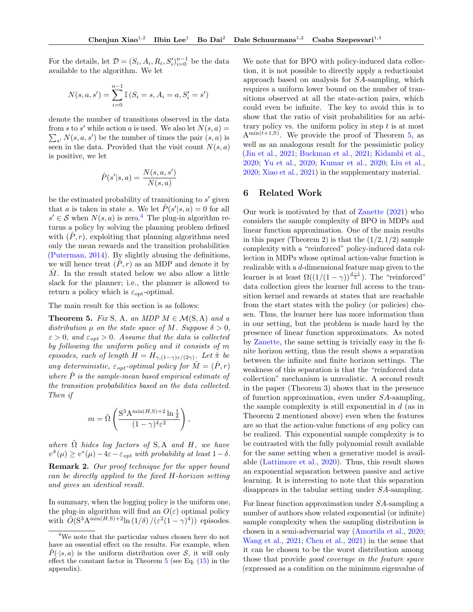For the details, let  $\mathcal{D} = (S_i, A_i, R_i, S_i')_{i=0}^{n-1}$  be the data available to the algorithm. We let

$$
N(s, a, s') = \sum_{i=0}^{n-1} \mathbb{I}(S_i = s, A_i = a, S'_i = s')
$$

denote the number of transitions observed in the data from s to s' while action a is used. We also let  $N(s, a) =$  $\sum_{s'} N(s, a, s')$  be the number of times the pair  $(s, a)$  is seen in the data. Provided that the visit count  $N(s, a)$ is positive, we let

$$
\hat{P}(s'|s,a) = \frac{N(s,a,s')}{N(s,a)}
$$

be the estimated probability of transitioning to  $s'$  given that a is taken in state s. We let  $\hat{P}(s'|s, a) = 0$  for all  $s' \in \mathcal{S}$  when  $N(s, a)$  is zero.<sup>[4](#page-6-0)</sup> The plug-in algorithm returns a policy by solving the planning problem defined with  $(P, r)$ , exploiting that planning algorithms need only the mean rewards and the transition probabilities [\(Puterman,](#page-9-18) [2014\)](#page-9-18). By slightly abusing the definitions, we will hence treat  $(\hat{P}, r)$  as an MDP and denote it by  $\hat{M}$ . In the result stated below we also allow a little slack for the planner; i.e., the planner is allowed to return a policy which is  $\varepsilon_{opt}$ -optimal.

<span id="page-6-1"></span>The main result for this section is as follows:

**Theorem 5.** Fix S, A, an MDP  $M \in \mathcal{M}(S, A)$  and a distribution  $\mu$  on the state space of M. Suppose  $\delta > 0$ ,  $\varepsilon > 0$ , and  $\varepsilon_{opt} > 0$ . Assume that the data is collected by following the uniform policy and it consists of m episodes, each of length  $H = H_{\gamma,(1-\gamma)\varepsilon/(2\gamma)}$ . Let  $\hat{\pi}$  be any deterministic,  $\varepsilon_{\text{opt}}$ -optimal policy for  $\hat{M} = (\hat{P}, r)$ where  $\hat{P}$  is the sample-mean based empirical estimate of the transition probabilities based on the data collected. Then if

$$
m = \tilde{\Omega}\left(\frac{\mathbf{S}^3 \mathbf{A}^{\min(H, \mathbf{S}) + 2} \ln \frac{1}{\delta}}{(1 - \gamma)^4 \varepsilon^2}\right),\,
$$

where  $\Omega$  hides log factors of S, A and H, we have  $v^{\hat{\pi}}(\mu) \geq v^*(\mu) - 4\varepsilon - \varepsilon_{opt}$  with probability at least  $1 - \delta$ . Remark 2. Our proof technique for the upper bound can be directly applied to the fixed H-horizon setting and gives an identical result.

In summary, when the logging policy is the uniform one, the plug-in algorithm will find an  $O(\varepsilon)$  optimal policy with  $\widetilde{O}(S^3 A^{\min(H,S)+2\ln(1/\delta)}/(\varepsilon^2(1-\gamma)^4))$  episodes. We note that for BPO with policy-induced data collection, it is not possible to directly apply a reductionist approach based on analysis for SA-sampling, which requires a uniform lower bound on the number of transitions observed at all the state-action pairs, which could even be infinite. The key to avoid this is to show that the ratio of visit probabilities for an arbitrary policy vs. the uniform policy in step  $t$  is at most  $A^{\min(t+1,S)}$ . We provide the proof of Theorem [5,](#page-6-1) as well as an analogous result for the pessimistic policy [\(Jin et al.,](#page-9-6) [2021;](#page-9-6) [Buckman et al.,](#page-8-12) [2021;](#page-8-12) [Kidambi et al.,](#page-9-12) [2020;](#page-9-12) [Yu et al.,](#page-10-9) [2020;](#page-10-9) [Kumar et al.,](#page-9-19) [2020;](#page-9-19) [Liu et al.,](#page-9-5) [2020;](#page-9-5) [Xiao et al.,](#page-9-8) [2021\)](#page-9-8) in the supplementary material.

## 6 Related Work

Our work is motivated by that of [Zanette](#page-10-10) [\(2021\)](#page-10-10) who considers the sample complexity of BPO in MDPs and linear function approximation. One of the main results in this paper (Theorem 2) is that the  $(1/2, 1/2)$  sample complexity with a "reinforced" policy-induced data collection in MDPs whose optimal action-value function is realizable with a d-dimensional feature map given to the learner is at least  $\Omega((1/(1-\gamma))^{\frac{d-1}{2}})$ . The "reinforced" data collection gives the learner full access to the transition kernel and rewards at states that are reachable from the start states with the policy (or policies) chosen. Thus, the learner here has more information than in our setting, but the problem is made hard by the presence of linear function approximators. As noted by [Zanette,](#page-10-10) the same setting is trivially easy in the finite horizon setting, thus the result shows a separation between the infinite and finite horizon settings. The weakness of this separation is that the "reinforced data collection" mechanism is unrealistic. A second result in the paper (Theorem 3) shows that in the presence of function approximation, even under SA-sampling, the sample complexity is still exponential in  $d$  (as in Theorem 2 mentioned above) even when the features are so that the action-value functions of any policy can be realized. This exponential sample complexity is to be contrasted with the fully polynomial result available for the same setting when a generative model is available [\(Lattimore et al.,](#page-9-20) [2020\)](#page-9-20). Thus, this result shows an exponential separation between passive and active learning. It is interesting to note that this separation disappears in the tabular setting under SA-sampling.

For linear function approximation under SA-sampling a number of authors show related exponential (or infinite) sample complexity when the sampling distribution is chosen in a semi-adversarial way [\(Amortila et al.,](#page-8-13) [2020;](#page-8-13) [Wang et al.,](#page-9-21) [2021;](#page-9-21) [Chen et al.,](#page-8-14) [2021\)](#page-8-14) in the sense that it can be chosen to be the worst distribution among those that provide good coverage in the feature space (expressed as a condition on the minimum eigenvalue of

<span id="page-6-0"></span><sup>4</sup>We note that the particular values chosen here do not have an essential effect on the results. For example, when  $\hat{P}(\cdot|s,a)$  is the uniform distribution over S, it will only effect the constant factor in Theorem  $5$  (see Eq.  $(15)$ ) in the appendix).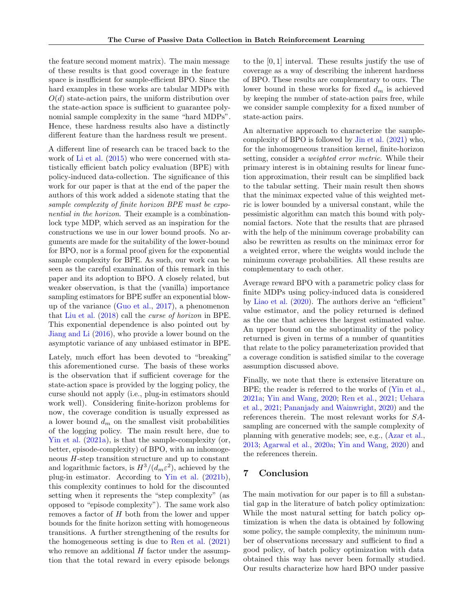the feature second moment matrix). The main message of these results is that good coverage in the feature space is insufficient for sample-efficient BPO. Since the hard examples in these works are tabular MDPs with  $O(d)$  state-action pairs, the uniform distribution over the state-action space is sufficient to guarantee polynomial sample complexity in the same "hard MDPs". Hence, these hardness results also have a distinctly different feature than the hardness result we present.

A different line of research can be traced back to the work of [Li et al.](#page-9-22)  $(2015)$  who were concerned with statistically efficient batch policy evaluation (BPE) with policy-induced data-collection. The significance of this work for our paper is that at the end of the paper the authors of this work added a sidenote stating that the sample complexity of finite horizon BPE must be exponential in the horizon. Their example is a combinationlock type MDP, which served as an inspiration for the constructions we use in our lower bound proofs. No arguments are made for the suitability of the lower-bound for BPO, nor is a formal proof given for the exponential sample complexity for BPE. As such, our work can be seen as the careful examination of this remark in this paper and its adoption to BPO. A closely related, but weaker observation, is that the (vanilla) importance sampling estimators for BPE suffer an exponential blowup of the variance [\(Guo et al.,](#page-8-15) [2017\)](#page-8-15), a phenomenon that [Liu et al.](#page-9-23) [\(2018\)](#page-9-23) call the curse of horizon in BPE. This exponential dependence is also pointed out by [Jiang and Li](#page-8-16) [\(2016\)](#page-8-16), who provide a lower bound on the asymptotic variance of any unbiased estimator in BPE.

Lately, much effort has been devoted to "breaking" this aforementioned curse. The basis of these works is the observation that if sufficient coverage for the state-action space is provided by the logging policy, the curse should not apply (i.e., plug-in estimators should work well). Considering finite-horizon problems for now, the coverage condition is usually expressed as a lower bound  $d_m$  on the smallest visit probabilities of the logging policy. The main result here, due to [Yin et al.](#page-10-2) [\(2021a\)](#page-10-2), is that the sample-complexity (or, better, episode-complexity) of BPO, with an inhomogeneous H-step transition structure and up to constant and logarithmic factors, is  $H^3/(d_m \varepsilon^2)$ , achieved by the plug-in estimator. According to [Yin et al.](#page-10-6) [\(2021b\)](#page-10-6), this complexity continues to hold for the discounted setting when it represents the "step complexity" (as opposed to "episode complexity"). The same work also removes a factor of  $H$  both from the lower and upper bounds for the finite horizon setting with homogeneous transitions. A further strengthening of the results for the homogeneous setting is due to [Ren et al.](#page-9-2) [\(2021\)](#page-9-2) who remove an additional  $H$  factor under the assumption that the total reward in every episode belongs to the [0, 1] interval. These results justify the use of coverage as a way of describing the inherent hardness of BPO. These results are complementary to ours. The lower bound in these works for fixed  $d_m$  is achieved by keeping the number of state-action pairs free, while we consider sample complexity for a fixed number of state-action pairs.

An alternative approach to characterize the samplecomplexity of BPO is followed by [Jin et al.](#page-9-6) [\(2021\)](#page-9-6) who, for the inhomogeneous transition kernel, finite-horizon setting, consider a weighted error metric. While their primary interest is in obtaining results for linear function approximation, their result can be simplified back to the tabular setting. Their main result then shows that the minimax expected value of this weighted metric is lower bounded by a universal constant, while the pessimistic algorithm can match this bound with polynomial factors. Note that the results that are phrased with the help of the minimum coverage probability can also be rewritten as results on the minimax error for a weighted error, where the weights would include the minimum coverage probabilities. All these results are complementary to each other.

Average reward BPO with a parametric policy class for finite MDPs using policy-induced data is considered by [Liao et al.](#page-9-24) [\(2020\)](#page-9-24). The authors derive an "efficient" value estimator, and the policy returned is defined as the one that achieves the largest estimated value. An upper bound on the suboptimality of the policy returned is given in terms of a number of quantities that relate to the policy parameterization provided that a coverage condition is satisfied similar to the coverage assumption discussed above.

Finally, we note that there is extensive literature on BPE; the reader is referred to the works of [\(Yin et al.,](#page-10-2) [2021a;](#page-10-2) [Yin and Wang,](#page-10-1) [2020;](#page-10-1) [Ren et al.,](#page-9-2) [2021;](#page-9-2) [Uehara](#page-9-3) [et al.,](#page-9-3) [2021;](#page-9-3) [Pananjady and Wainwright,](#page-9-25) [2020\)](#page-9-25) and the references therein. The most relevant works for SAsampling are concerned with the sample complexity of planning with generative models; see, e.g., [\(Azar et al.,](#page-8-10) [2013;](#page-8-10) [Agarwal et al.,](#page-8-9) [2020a;](#page-8-9) [Yin and Wang,](#page-10-1) [2020\)](#page-10-1) and the references therein.

## 7 Conclusion

The main motivation for our paper is to fill a substantial gap in the literature of batch policy optimization: While the most natural setting for batch policy optimization is when the data is obtained by following some policy, the sample complexity, the minimum number of observations necessary and sufficient to find a good policy, of batch policy optimization with data obtained this way has never been formally studied. Our results characterize how hard BPO under passive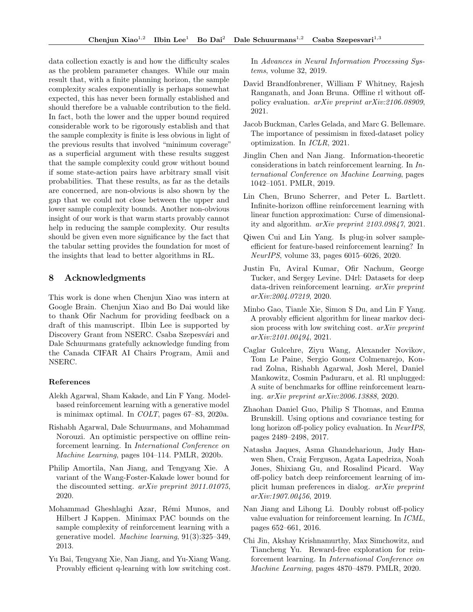data collection exactly is and how the difficulty scales as the problem parameter changes. While our main result that, with a finite planning horizon, the sample complexity scales exponentially is perhaps somewhat expected, this has never been formally established and should therefore be a valuable contribution to the field. In fact, both the lower and the upper bound required considerable work to be rigorously establish and that the sample complexity is finite is less obvious in light of the previous results that involved "minimum coverage" as a superficial argument with these results suggest that the sample complexity could grow without bound if some state-action pairs have arbitrary small visit probabilities. That these results, as far as the details are concerned, are non-obvious is also shown by the gap that we could not close between the upper and lower sample complexity bounds. Another non-obvious insight of our work is that warm starts provably cannot help in reducing the sample complexity. Our results should be given even more significance by the fact that the tabular setting provides the foundation for most of the insights that lead to better algorithms in RL.

## 8 Acknowledgments

This work is done when Chenjun Xiao was intern at Google Brain. Chenjun Xiao and Bo Dai would like to thank Ofir Nachum for providing feedback on a draft of this manuscript. Ilbin Lee is supported by Discovery Grant from NSERC. Csaba Szepesvári and Dale Schuurmans gratefully acknowledge funding from the Canada CIFAR AI Chairs Program, Amii and NSERC.

#### References

- <span id="page-8-9"></span>Alekh Agarwal, Sham Kakade, and Lin F Yang. Modelbased reinforcement learning with a generative model is minimax optimal. In COLT, pages 67–83, 2020a.
- <span id="page-8-5"></span>Rishabh Agarwal, Dale Schuurmans, and Mohammad Norouzi. An optimistic perspective on offline reinforcement learning. In International Conference on Machine Learning, pages 104–114. PMLR, 2020b.
- <span id="page-8-13"></span>Philip Amortila, Nan Jiang, and Tengyang Xie. A variant of the Wang-Foster-Kakade lower bound for the discounted setting. arXiv preprint 2011.01075, 2020.
- <span id="page-8-10"></span>Mohammad Gheshlaghi Azar, Rémi Munos, and Hilbert J Kappen. Minimax PAC bounds on the sample complexity of reinforcement learning with a generative model. Machine learning, 91(3):325–349, 2013.
- <span id="page-8-2"></span>Yu Bai, Tengyang Xie, Nan Jiang, and Yu-Xiang Wang. Provably efficient q-learning with low switching cost.

In Advances in Neural Information Processing Systems, volume 32, 2019.

- <span id="page-8-8"></span>David Brandfonbrener, William F Whitney, Rajesh Ranganath, and Joan Bruna. Offline rl without offpolicy evaluation. arXiv preprint arXiv:2106.08909, 2021.
- <span id="page-8-12"></span>Jacob Buckman, Carles Gelada, and Marc G. Bellemare. The importance of pessimism in fixed-dataset policy optimization. In ICLR, 2021.
- <span id="page-8-1"></span>Jinglin Chen and Nan Jiang. Information-theoretic considerations in batch reinforcement learning. In International Conference on Machine Learning, pages 1042–1051. PMLR, 2019.
- <span id="page-8-14"></span>Lin Chen, Bruno Scherrer, and Peter L. Bartlett. Infinite-horizon offline reinforcement learning with linear function approximation: Curse of dimensionality and algorithm. arXiv preprint 2103.09847, 2021.
- <span id="page-8-11"></span>Qiwen Cui and Lin Yang. Is plug-in solver sampleefficient for feature-based reinforcement learning? In NeurIPS, volume 33, pages 6015–6026, 2020.
- <span id="page-8-7"></span>Justin Fu, Aviral Kumar, Ofir Nachum, George Tucker, and Sergey Levine. D4rl: Datasets for deep data-driven reinforcement learning. arXiv preprint arXiv:2004.07219, 2020.
- <span id="page-8-3"></span>Minbo Gao, Tianle Xie, Simon S Du, and Lin F Yang. A provably efficient algorithm for linear markov decision process with low switching cost. arXiv preprint arXiv:2101.00494, 2021.
- <span id="page-8-6"></span>Caglar Gulcehre, Ziyu Wang, Alexander Novikov, Tom Le Paine, Sergio Gomez Colmenarejo, Konrad Zolna, Rishabh Agarwal, Josh Merel, Daniel Mankowitz, Cosmin Paduraru, et al. Rl unplugged: A suite of benchmarks for offline reinforcement learning. arXiv preprint arXiv:2006.13888, 2020.
- <span id="page-8-15"></span>Zhaohan Daniel Guo, Philip S Thomas, and Emma Brunskill. Using options and covariance testing for long horizon off-policy policy evaluation. In NeurIPS, pages 2489–2498, 2017.
- <span id="page-8-4"></span>Natasha Jaques, Asma Ghandeharioun, Judy Hanwen Shen, Craig Ferguson, Agata Lapedriza, Noah Jones, Shixiang Gu, and Rosalind Picard. Way off-policy batch deep reinforcement learning of implicit human preferences in dialog. arXiv preprint arXiv:1907.00456, 2019.
- <span id="page-8-16"></span>Nan Jiang and Lihong Li. Doubly robust off-policy value evaluation for reinforcement learning. In ICML, pages 652–661, 2016.
- <span id="page-8-0"></span>Chi Jin, Akshay Krishnamurthy, Max Simchowitz, and Tiancheng Yu. Reward-free exploration for reinforcement learning. In International Conference on Machine Learning, pages 4870–4879. PMLR, 2020.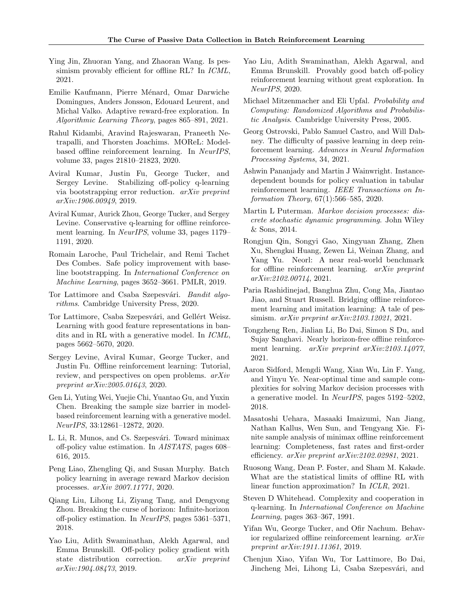- <span id="page-9-6"></span>Ying Jin, Zhuoran Yang, and Zhaoran Wang. Is pessimism provably efficient for offline RL? In *ICML*, 2021.
- <span id="page-9-0"></span>Emilie Kaufmann, Pierre Ménard, Omar Darwiche Domingues, Anders Jonsson, Edouard Leurent, and Michal Valko. Adaptive reward-free exploration. In Algorithmic Learning Theory, pages 865–891, 2021.
- <span id="page-9-12"></span>Rahul Kidambi, Aravind Rajeswaran, Praneeth Netrapalli, and Thorsten Joachims. MOReL: Modelbased offline reinforcement learning. In NeurIPS, volume 33, pages 21810–21823, 2020.
- <span id="page-9-10"></span>Aviral Kumar, Justin Fu, George Tucker, and Sergey Levine. Stabilizing off-policy q-learning via bootstrapping error reduction. arXiv preprint arXiv:1906.00949, 2019.
- <span id="page-9-19"></span>Aviral Kumar, Aurick Zhou, George Tucker, and Sergey Levine. Conservative q-learning for offline reinforcement learning. In NeurIPS, volume 33, pages 1179– 1191, 2020.
- <span id="page-9-9"></span>Romain Laroche, Paul Trichelair, and Remi Tachet Des Combes. Safe policy improvement with baseline bootstrapping. In International Conference on Machine Learning, pages 3652–3661. PMLR, 2019.
- <span id="page-9-26"></span>Tor Lattimore and Csaba Szepesvári. Bandit algorithms. Cambridge University Press, 2020.
- <span id="page-9-20"></span>Tor Lattimore, Csaba Szepesvári, and Gellért Weisz. Learning with good feature representations in bandits and in RL with a generative model. In ICML, pages 5662–5670, 2020.
- <span id="page-9-1"></span>Sergey Levine, Aviral Kumar, George Tucker, and Justin Fu. Offline reinforcement learning: Tutorial, review, and perspectives on open problems. arXiv preprint arXiv:2005.01643, 2020.
- <span id="page-9-15"></span>Gen Li, Yuting Wei, Yuejie Chi, Yuantao Gu, and Yuxin Chen. Breaking the sample size barrier in modelbased reinforcement learning with a generative model. NeurIPS, 33:12861–12872, 2020.
- <span id="page-9-22"></span>L. Li, R. Munos, and Cs. Szepesvári. Toward minimax off-policy value estimation. In AISTATS, pages 608– 616, 2015.
- <span id="page-9-24"></span>Peng Liao, Zhengling Qi, and Susan Murphy. Batch policy learning in average reward Markov decision processes. arXiv 2007.11771, 2020.
- <span id="page-9-23"></span>Qiang Liu, Lihong Li, Ziyang Tang, and Dengyong Zhou. Breaking the curse of horizon: Infinite-horizon off-policy estimation. In NeurIPS, pages 5361–5371, 2018.
- <span id="page-9-4"></span>Yao Liu, Adith Swaminathan, Alekh Agarwal, and Emma Brunskill. Off-policy policy gradient with state distribution correction. arXiv preprint arXiv:1904.08473, 2019.
- <span id="page-9-5"></span>Yao Liu, Adith Swaminathan, Alekh Agarwal, and Emma Brunskill. Provably good batch off-policy reinforcement learning without great exploration. In NeurIPS, 2020.
- <span id="page-9-27"></span>Michael Mitzenmacher and Eli Upfal. Probability and Computing: Randomized Algorithms and Probabilistic Analysis. Cambridge University Press, 2005.
- <span id="page-9-13"></span>Georg Ostrovski, Pablo Samuel Castro, and Will Dabney. The difficulty of passive learning in deep reinforcement learning. Advances in Neural Information Processing Systems, 34, 2021.
- <span id="page-9-25"></span>Ashwin Pananjady and Martin J Wainwright. Instancedependent bounds for policy evaluation in tabular reinforcement learning. IEEE Transactions on Information Theory, 67(1):566–585, 2020.
- <span id="page-9-18"></span>Martin L Puterman. Markov decision processes: discrete stochastic dynamic programming. John Wiley & Sons, 2014.
- <span id="page-9-14"></span>Rongjun Qin, Songyi Gao, Xingyuan Zhang, Zhen Xu, Shengkai Huang, Zewen Li, Weinan Zhang, and Yang Yu. Neorl: A near real-world benchmark for offline reinforcement learning. arXiv preprint arXiv:2102.00714, 2021.
- <span id="page-9-7"></span>Paria Rashidinejad, Banghua Zhu, Cong Ma, Jiantao Jiao, and Stuart Russell. Bridging offline reinforcement learning and imitation learning: A tale of pessimism. arXiv preprint arXiv:2103.12021, 2021.
- <span id="page-9-2"></span>Tongzheng Ren, Jialian Li, Bo Dai, Simon S Du, and Sujay Sanghavi. Nearly horizon-free offline reinforcement learning. *arXiv preprint arXiv:2103.14077*, 2021.
- <span id="page-9-17"></span>Aaron Sidford, Mengdi Wang, Xian Wu, Lin F. Yang, and Yinyu Ye. Near-optimal time and sample complexities for solving Markov decision processes with a generative model. In NeurIPS, pages 5192–5202, 2018.
- <span id="page-9-3"></span>Masatoshi Uehara, Masaaki Imaizumi, Nan Jiang, Nathan Kallus, Wen Sun, and Tengyang Xie. Finite sample analysis of minimax offline reinforcement learning: Completeness, fast rates and first-order efficiency.  $arXiv$  preprint  $arXiv:2102.02981$ , 2021.
- <span id="page-9-21"></span>Ruosong Wang, Dean P. Foster, and Sham M. Kakade. What are the statistical limits of offline RL with linear function approximation? In ICLR, 2021.
- <span id="page-9-16"></span>Steven D Whitehead. Complexity and cooperation in q-learning. In International Conference on Machine Learning, pages 363–367, 1991.
- <span id="page-9-11"></span>Yifan Wu, George Tucker, and Ofir Nachum. Behavior regularized offline reinforcement learning. arXiv preprint arXiv:1911.11361, 2019.
- <span id="page-9-8"></span>Chenjun Xiao, Yifan Wu, Tor Lattimore, Bo Dai, Jincheng Mei, Lihong Li, Csaba Szepesvári, and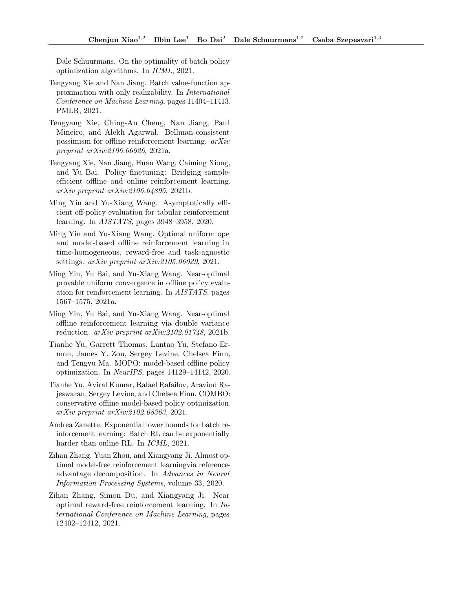Dale Schuurmans. On the optimality of batch policy optimization algorithms. In ICML, 2021.

- <span id="page-10-4"></span>Tengyang Xie and Nan Jiang. Batch value-function approximation with only realizability. In International Conference on Machine Learning, pages 11404–11413. PMLR, 2021.
- <span id="page-10-5"></span>Tengyang Xie, Ching-An Cheng, Nan Jiang, Paul Mineiro, and Alekh Agarwal. Bellman-consistent pessimism for offline reinforcement learning. arXiv preprint arXiv:2106.06926, 2021a.
- <span id="page-10-7"></span>Tengyang Xie, Nan Jiang, Huan Wang, Caiming Xiong, and Yu Bai. Policy finetuning: Bridging sampleefficient offline and online reinforcement learning. arXiv preprint arXiv:2106.04895, 2021b.
- <span id="page-10-1"></span>Ming Yin and Yu-Xiang Wang. Asymptotically efficient off-policy evaluation for tabular reinforcement learning. In AISTATS, pages 3948–3958, 2020.
- <span id="page-10-3"></span>Ming Yin and Yu-Xiang Wang. Optimal uniform ope and model-based offline reinforcement learning in time-homogeneous, reward-free and task-agnostic settings. arXiv preprint arXiv:2105.06029, 2021.
- <span id="page-10-2"></span>Ming Yin, Yu Bai, and Yu-Xiang Wang. Near-optimal provable uniform convergence in offline policy evaluation for reinforcement learning. In AISTATS, pages 1567–1575, 2021a.
- <span id="page-10-6"></span>Ming Yin, Yu Bai, and Yu-Xiang Wang. Near-optimal offline reinforcement learning via double variance reduction. arXiv preprint arXiv:2102.01748, 2021b.
- <span id="page-10-9"></span>Tianhe Yu, Garrett Thomas, Lantao Yu, Stefano Ermon, James Y. Zou, Sergey Levine, Chelsea Finn, and Tengyu Ma. MOPO: model-based offline policy optimization. In NeurIPS, pages 14129–14142, 2020.
- <span id="page-10-11"></span>Tianhe Yu, Aviral Kumar, Rafael Rafailov, Aravind Rajeswaran, Sergey Levine, and Chelsea Finn. COMBO: conservative offline model-based policy optimization. arXiv preprint arXiv:2102.08363, 2021.
- <span id="page-10-10"></span>Andrea Zanette. Exponential lower bounds for batch reinforcement learning: Batch RL can be exponentially harder than online RL. In *ICML*, 2021.
- <span id="page-10-8"></span>Zihan Zhang, Yuan Zhou, and Xiangyang Ji. Almost optimal model-free reinforcement learningvia referenceadvantage decomposition. In Advances in Neural Information Processing Systems, volume 33, 2020.
- <span id="page-10-0"></span>Zihan Zhang, Simon Du, and Xiangyang Ji. Near optimal reward-free reinforcement learning. In International Conference on Machine Learning, pages 12402–12412, 2021.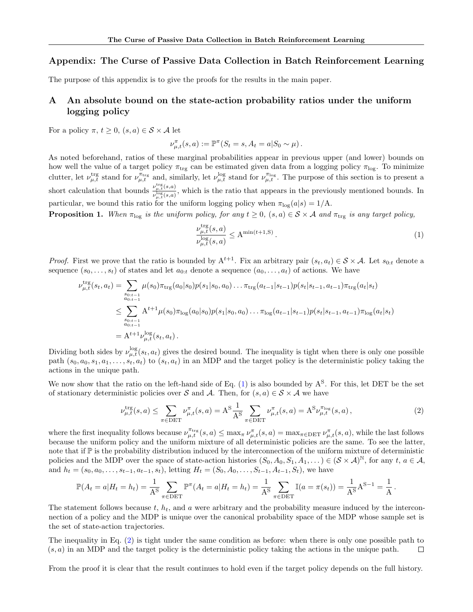## Appendix: The Curse of Passive Data Collection in Batch Reinforcement Learning

The purpose of this appendix is to give the proofs for the results in the main paper.

# A An absolute bound on the state-action probability ratios under the uniform logging policy

For a policy  $\pi, t \geq 0$ ,  $(s, a) \in S \times A$  let

$$
\nu_{\mu,t}^{\pi}(s,a) := \mathbb{P}^{\pi}(S_t = s, A_t = a | S_0 \sim \mu).
$$

As noted beforehand, ratios of these marginal probabilities appear in previous upper (and lower) bounds on how well the value of a target policy  $\pi_{trg}$  can be estimated given data from a logging policy  $\pi_{log}$ . To minimize clutter, let  $\nu_{\mu,t}^{\text{trg}}$  stand for  $\nu_{\mu,t}^{\pi_{\text{trg}}}$  and, similarly, let  $\nu_{\mu,t}^{\text{log}}$  stand for  $\nu_{\mu,t}^{\pi_{\text{log}}}$ . The purpose of this section is to present a short calculation that bounds  $\nu_{\mu,\ell,s,a}^{\nu_{\mu,\ell}^{reg}(s,a)}$  $\frac{\rho_{\mu,t}(s,a)}{\rho_{\mu,t}^{log}(s,a)}$ , which is the ratio that appears in the previously mentioned bounds. In particular, we bound this ratio for the uniform logging policy when  $\pi_{\text{log}}(a|s) = 1/\text{A}$ .

<span id="page-11-2"></span>**Proposition 1.** When  $\pi_{\text{log}}$  is the uniform policy, for any  $t \geq 0$ ,  $(s, a) \in S \times A$  and  $\pi_{\text{trg}}$  is any target policy,

<span id="page-11-1"></span><span id="page-11-0"></span>
$$
\frac{\nu_{\mu,t}^{\text{trg}}(s,a)}{\nu_{\mu,t}^{\text{log}}(s,a)} \le \mathbf{A}^{\min(t+1,\mathbf{S})} \,. \tag{1}
$$

*Proof.* First we prove that the ratio is bounded by  $A^{t+1}$ . Fix an arbitrary pair  $(s_t, a_t) \in S \times A$ . Let  $s_{0:t}$  denote a sequence  $(s_0, \ldots, s_t)$  of states and let  $a_{0:t}$  denote a sequence  $(a_0, \ldots, a_t)$  of actions. We have

$$
\nu_{\mu,t}^{\text{trg}}(s_t, a_t) = \sum_{\substack{s_{0:t-1} \\ a_{0:t-1}}} \mu(s_0) \pi_{\text{trg}}(a_0|s_0) p(s_1|s_0, a_0) \dots \pi_{\text{trg}}(a_{t-1}|s_{t-1}) p(s_t|s_{t-1}, a_{t-1}) \pi_{\text{trg}}(a_t|s_t)
$$
\n
$$
\leq \sum_{\substack{s_{0:t-1} \\ a_{0:t-1}}} A^{t+1} \mu(s_0) \pi_{\log}(a_0|s_0) p(s_1|s_0, a_0) \dots \pi_{\log}(a_{t-1}|s_{t-1}) p(s_t|s_{t-1}, a_{t-1}) \pi_{\log}(a_t|s_t)
$$
\n
$$
= A^{t+1} \nu_{\mu,t}^{\log}(s_t, a_t).
$$

Dividing both sides by  $\nu_{\mu,t}^{\log}(s_t, a_t)$  gives the desired bound. The inequality is tight when there is only one possible path  $(s_0, a_0, s_1, a_1, \ldots, s_t, a_t)$  to  $(s_t, a_t)$  in an MDP and the target policy is the deterministic policy taking the actions in the unique path.

We now show that the ratio on the left-hand side of Eq.  $(1)$  is also bounded by  $A<sup>S</sup>$ . For this, let DET be the set of stationary deterministic policies over S and A. Then, for  $(s, a) \in S \times A$  we have

$$
\nu_{\mu,t}^{\text{trg}}(s,a) \le \sum_{\pi \in \text{DET}} \nu_{\mu,t}^{\pi}(s,a) = A^{\text{S}} \frac{1}{A^{\text{S}}} \sum_{\pi \in \text{DET}} \nu_{\mu,t}^{\pi}(s,a) = A^{\text{S}} \nu_{\mu,t}^{\pi_{\text{log}}}(s,a) ,\tag{2}
$$

where the first inequality follows because  $\nu_{\mu,t}^{\pi_{\text{trg}}}(s, a) \leq \max_{\pi} \nu_{\mu,t}^{\pi}(s, a) = \max_{\pi \in \text{DET}} \nu_{\mu,t}^{\pi}(s, a)$ , while the last follows because the uniform policy and the uniform mixture of all deterministic policies are the same. To see the latter, note that if  $\mathbb P$  is the probability distribution induced by the interconnection of the uniform mixture of deterministic policies and the MDP over the space of state-action histories  $(S_0, A_0, S_1, A_1, ...) \in (\mathcal{S} \times \mathcal{A})^{\mathbb{N}}$ , for any  $t, a \in \mathcal{A}$ , and  $h_t = (s_0, a_0, \ldots, s_{t-1}, a_{t-1}, s_t)$ , letting  $H_t = (S_0, A_0, \ldots, S_{t-1}, A_{t-1}, S_t)$ , we have

$$
\mathbb{P}(A_t = a | H_t = h_t) = \frac{1}{A^S} \sum_{\pi \in \text{DET}} \mathbb{P}^{\pi}(A_t = a | H_t = h_t) = \frac{1}{A^S} \sum_{\pi \in \text{DET}} \mathbb{I}(a = \pi(s_t)) = \frac{1}{A^S} A^{S-1} = \frac{1}{A}.
$$

The statement follows because  $t, h_t$ , and a were arbitrary and the probability measure induced by the interconnection of a policy and the MDP is unique over the canonical probability space of the MDP whose sample set is the set of state-action trajectories.

The inequality in Eq. [\(2\)](#page-11-1) is tight under the same condition as before: when there is only one possible path to  $(s, a)$  in an MDP and the target policy is the deterministic policy taking the actions in the unique path.  $\Box$ 

From the proof it is clear that the result continues to hold even if the target policy depends on the full history.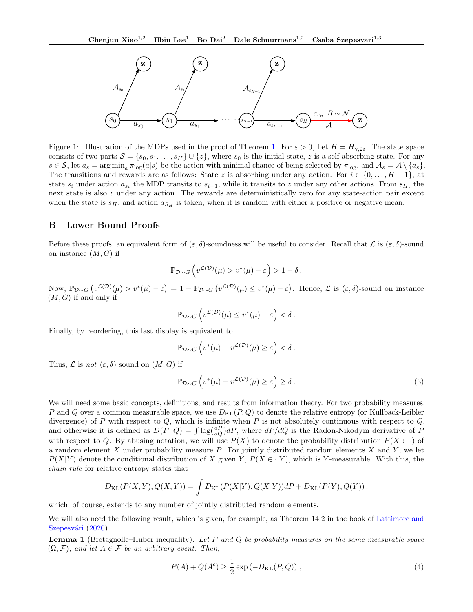

<span id="page-12-0"></span>Figure 1: Illustration of the MDPs used in the proof of Theorem [1.](#page-4-0) For  $\varepsilon > 0$ , Let  $H = H_{\gamma,2\varepsilon}$ . The state space consists of two parts  $S = \{s_0, s_1, \ldots, s_H\} \cup \{z\}$ , where  $s_0$  is the initial state, z is a self-absorbing state. For any  $s \in \mathcal{S}$ , let  $a_s = \arg \min_a \pi_{\log}(a|s)$  be the action with minimal chance of being selected by  $\pi_{\log}$ , and  $\mathcal{A}_s = \mathcal{A} \setminus \{a_s\}$ . The transitions and rewards are as follows: State z is absorbing under any action. For  $i \in \{0, \ldots, H-1\}$ , at state  $s_i$  under action  $a_{s_i}$  the MDP transits to  $s_{i+1}$ , while it transits to z under any other actions. From  $s_H$ , the next state is also z under any action. The rewards are deterministically zero for any state-action pair except when the state is  $s_H$ , and action  $a_{S_H}$  is taken, when it is random with either a positive or negative mean.

#### B Lower Bound Proofs

Before these proofs, an equivalent form of  $(\varepsilon, \delta)$ -soundness will be useful to consider. Recall that  $\mathcal L$  is  $(\varepsilon, \delta)$ -sound on instance  $(M, G)$  if

$$
\mathbb{P}_{\mathcal{D}\sim G}\left(v^{\mathcal{L}(\mathcal{D})}(\mu) > v^*(\mu) - \varepsilon\right) > 1 - \delta,
$$

Now,  $\mathbb{P}_{\mathcal{D}\sim G}\left(v^{\mathcal{L}(\mathcal{D})}(\mu) > v^*(\mu) - \varepsilon\right) = 1 - \mathbb{P}_{\mathcal{D}\sim G}\left(v^{\mathcal{L}(\mathcal{D})}(\mu) \leq v^*(\mu) - \varepsilon\right).$  Hence,  $\mathcal{L}$  is  $(\varepsilon, \delta)$ -sound on instance  $(M, G)$  if and only if

$$
\mathbb{P}_{\mathcal{D}\sim G}\left(v^{\mathcal{L}(\mathcal{D})}(\mu) \leq v^*(\mu) - \varepsilon\right) < \delta.
$$

Finally, by reordering, this last display is equivalent to

$$
\mathbb{P}_{\mathcal{D}\sim G}\left(v^*(\mu)-v^{\mathcal{L}(\mathcal{D})}(\mu)\geq \varepsilon\right)<\delta.
$$

Thus,  $\mathcal L$  is not  $(\varepsilon, \delta)$  sound on  $(M, G)$  if

<span id="page-12-1"></span>
$$
\mathbb{P}_{\mathcal{D}\sim G}\left(v^*(\mu)-v^{\mathcal{L}(\mathcal{D})}(\mu)\geq \varepsilon\right)\geq \delta.
$$
\n(3)

We will need some basic concepts, definitions, and results from information theory. For two probability measures, P and Q over a common measurable space, we use  $D_{\text{KL}}(P,Q)$  to denote the relative entropy (or Kullback-Leibler divergence) of P with respect to  $Q$ , which is infinite when P is not absolutely continuous with respect to  $Q$ , and otherwise it is defined as  $D(P||Q) = \int \log(\frac{dP}{dQ})dP$ , where  $dP/dQ$  is the Radon-Nikodym derivative of P with respect to Q. By abusing notation, we will use  $P(X)$  to denote the probability distribution  $P(X \in \cdot)$  of a random element  $X$  under probability measure  $P$ . For jointly distributed random elements  $X$  and  $Y$ , we let  $P(X|Y)$  denote the conditional distribution of X given Y,  $P(X \in \cdot | Y)$ , which is Y-measurable. With this, the chain rule for relative entropy states that

$$
D_{\text{KL}}(P(X,Y), Q(X,Y)) = \int D_{\text{KL}}(P(X|Y), Q(X|Y))dP + D_{\text{KL}}(P(Y), Q(Y)),
$$

which, of course, extends to any number of jointly distributed random elements.

We will also need the following result, which is given, for example, as Theorem 14.2 in the book of [Lattimore and](#page-9-26) Szepesvári [\(2020\)](#page-9-26).

<span id="page-12-2"></span>**Lemma 1** (Bretagnolle–Huber inequality). Let P and Q be probability measures on the same measurable space  $(\Omega, \mathcal{F})$ , and let  $A \in \mathcal{F}$  be an arbitrary event. Then,

$$
P(A) + Q(Ac) \ge \frac{1}{2} \exp(-D_{\text{KL}}(P,Q)),
$$
\n(4)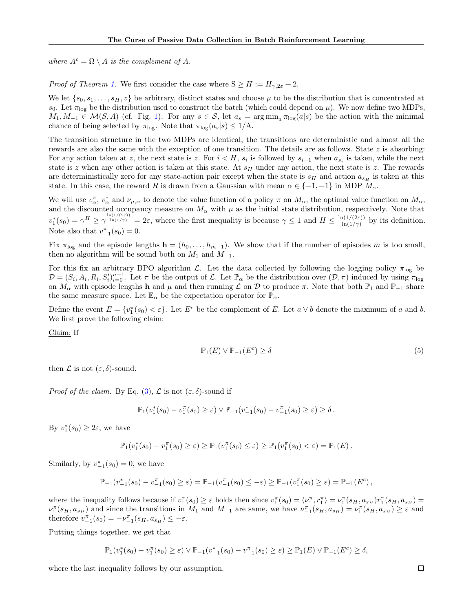where  $A^c = \Omega \setminus A$  is the complement of A.

*Proof of Theorem [1.](#page-4-0)* We first consider the case where  $S \geq H := H_{\gamma,2\varepsilon} + 2$ .

We let  $\{s_0, s_1, \ldots, s_H, z\}$  be arbitrary, distinct states and choose  $\mu$  to be the distribution that is concentrated at s<sub>0</sub>. Let  $\pi_{\text{log}}$  be the distribution used to construct the batch (which could depend on  $\mu$ ). We now define two MDPs,  $M_1, M_{-1} \in \mathcal{M}(S, A)$  (cf. Fig. [1\)](#page-12-0). For any  $s \in \mathcal{S}$ , let  $a_s = \arg \min_a \pi_{\log}(a|s)$  be the action with the minimal chance of being selected by  $\pi_{\text{log}}$ . Note that  $\pi_{\text{log}}(a_s|s) \leq 1/\text{A}$ .

The transition structure in the two MDPs are identical, the transitions are deterministic and almost all the rewards are also the same with the exception of one transition. The details are as follows. State  $z$  is absorbing: For any action taken at z, the next state is z. For  $i < H$ ,  $s_i$  is followed by  $s_{i+1}$  when  $a_{s_i}$  is taken, while the next state is z when any other action is taken at this state. At  $s_H$  under any action, the next state is z. The rewards are deterministically zero for any state-action pair except when the state is  $s_H$  and action  $a_{s_H}$  is taken at this state. In this case, the reward R is drawn from a Gaussian with mean  $\alpha \in \{-1, +1\}$  in MDP  $M_{\alpha}$ .

We will use  $v_\alpha^{\pi}$ ,  $v_\alpha^*$  and  $\nu_{\mu,\alpha}$  to denote the value function of a policy  $\pi$  on  $M_\alpha$ , the optimal value function on  $M_\alpha$ , and the discounted occupancy measure on  $M_{\alpha}$  with  $\mu$  as the initial state distribution, respectively. Note that  $v_1^*(s_0) = \gamma^H \ge \gamma^{\frac{\ln(1/(2\varepsilon))}{\ln(1/\gamma)}} = 2\varepsilon$ , where the first inequality is because  $\gamma \le 1$  and  $H \le \frac{\ln(1/(2\varepsilon))}{\ln(1/\gamma)}$  $\frac{\ln(1/(2\varepsilon))}{\ln(1/\gamma)}$  by its definition. Note also that  $v_{-1}^*(s_0) = 0$ .

Fix  $\pi_{\text{log}}$  and the episode lengths  $\mathbf{h} = (h_0, \ldots, h_{m-1})$ . We show that if the number of episodes m is too small, then no algorithm will be sound both on  $M_1$  and  $M_{-1}$ .

For this fix an arbitrary BPO algorithm L. Let the data collected by following the logging policy  $\pi_{\text{log}}$  be  $\mathcal{D} = (S_i, A_i, R_i, S_i')_{i=0}^{n-1}$ . Let  $\pi$  be the output of  $\mathcal{L}$ . Let  $\mathbb{P}_{\alpha}$  be the distribution over  $(\mathcal{D}, \pi)$  induced by using  $\pi_{\log}$ on  $M_{\alpha}$  with episode lengths h and  $\mu$  and then running  $\mathcal L$  on  $\mathcal D$  to produce  $\pi$ . Note that both  $\mathbb P_1$  and  $\mathbb P_{-1}$  share the same measure space. Let  $\mathbb{E}_{\alpha}$  be the expectation operator for  $\mathbb{P}_{\alpha}$ .

Define the event  $E = \{v_1^{\pi}(s_0) < \varepsilon\}$ . Let  $E^c$  be the complement of E. Let  $a \vee b$  denote the maximum of a and b. We first prove the following claim:

Claim: If

<span id="page-13-0"></span>
$$
\mathbb{P}_1(E) \vee \mathbb{P}_{-1}(E^c) \ge \delta \tag{5}
$$

then  $\mathcal L$  is not  $(\varepsilon, \delta)$ -sound.

*Proof of the claim.* By Eq. [\(3\)](#page-12-1),  $\mathcal{L}$  is not  $(\varepsilon, \delta)$ -sound if

$$
\mathbb{P}_1(v_1^*(s_0) - v_1^{\pi}(s_0) \geq \varepsilon) \vee \mathbb{P}_{-1}(v_{-1}^*(s_0) - v_{-1}^{\pi}(s_0) \geq \varepsilon) \geq \delta.
$$

By  $v_1^*(s_0) \geq 2\varepsilon$ , we have

$$
\mathbb{P}_1(v_1^*(s_0) - v_1^{\pi}(s_0) \geq \varepsilon) \geq \mathbb{P}_1(v_1^{\pi}(s_0) \leq \varepsilon) \geq \mathbb{P}_1(v_1^{\pi}(s_0) < \varepsilon) = \mathbb{P}_1(E).
$$

Similarly, by  $v_{-1}^*(s_0) = 0$ , we have

$$
\mathbb{P}_{-1}(v_{-1}^*(s_0) - v_{-1}^{\pi}(s_0) \geq \varepsilon) = \mathbb{P}_{-1}(v_{-1}^{\pi}(s_0) \leq -\varepsilon) \geq \mathbb{P}_{-1}(v_1^{\pi}(s_0) \geq \varepsilon) = \mathbb{P}_{-1}(E^c),
$$

where the inequality follows because if  $v_1^{\pi}(s_0) \geq \varepsilon$  holds then since  $v_1^{\pi}(s_0) = \langle v_1^{\pi}, r_1^{\pi} \rangle = v_1^{\pi}(s_H, a_{s_H}) r_1^{\pi}(s_H, a_{s_H}) =$  $\nu_1^{\pi}(s_H, a_{s_H})$  and since the transitions in  $M_1$  and  $M_{-1}$  are same, we have  $\nu_{-1}^{\pi}(s_H, a_{s_H}) = \nu_1^{\pi}(s_H, a_{s_H}) \geq \varepsilon$  and therefore  $v_{-1}^{\pi}(s_0) = -\nu_{-1}^{\pi}(s_H, a_{s_H}) \leq -\varepsilon$ .

Putting things together, we get that

$$
\mathbb{P}_1(v_1^*(s_0) - v_1^{\pi}(s_0) \ge \varepsilon) \vee \mathbb{P}_{-1}(v_{-1}^*(s_0) - v_{-1}^{\pi}(s_0) \ge \varepsilon) \ge \mathbb{P}_1(E) \vee \mathbb{P}_{-1}(E^c) \ge \delta,
$$

where the last inequality follows by our assumption.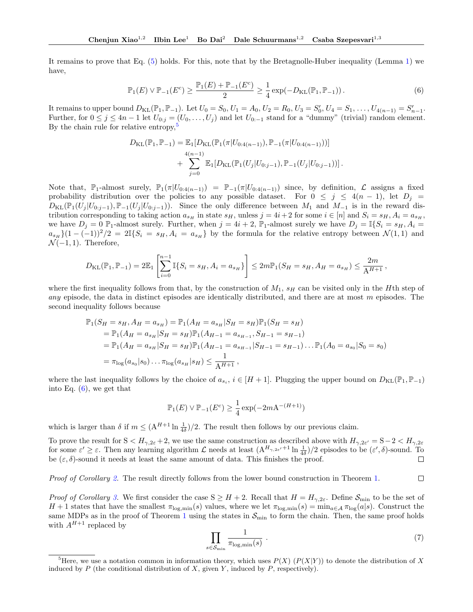It remains to prove that Eq. [\(5\)](#page-13-0) holds. For this, note that by the Bretagnolle-Huber inequality (Lemma [1\)](#page-12-2) we have,

<span id="page-14-1"></span>
$$
\mathbb{P}_1(E) \vee \mathbb{P}_{-1}(E^c) \ge \frac{\mathbb{P}_1(E) + \mathbb{P}_{-1}(E^c)}{2} \ge \frac{1}{4} \exp(-D_{\text{KL}}(\mathbb{P}_1, \mathbb{P}_{-1})) \,. \tag{6}
$$

It remains to upper bound  $D_{KL}(\mathbb{P}_1, \mathbb{P}_{-1})$ . Let  $U_0 = S_0, U_1 = A_0, U_2 = R_0, U_3 = S'_0, U_4 = S_1, \ldots, U_{4(n-1)} = S'_{n-1}$ . Further, for  $0 \le j \le 4n-1$  let  $U_{0:j} = (U_0, \ldots, U_j)$  and let  $U_{0:-1}$  stand for a "dummy" (trivial) random element. By the chain rule for relative entropy,<sup>[5](#page-14-0)</sup>

$$
D_{\text{KL}}(\mathbb{P}_1, \mathbb{P}_{-1}) = \mathbb{E}_1[D_{\text{KL}}(\mathbb{P}_1(\pi|U_{0:4(n-1)}), \mathbb{P}_{-1}(\pi|U_{0:4(n-1)}))]
$$
  
+ 
$$
\sum_{j=0}^{4(n-1)} \mathbb{E}_1[D_{\text{KL}}(\mathbb{P}_1(U_j|U_{0:j-1}), \mathbb{P}_{-1}(U_j|U_{0:j-1}))].
$$

Note that,  $\mathbb{P}_1$ -almost surely,  $\mathbb{P}_1(\pi|U_{0:4(n-1)}) = \mathbb{P}_{-1}(\pi|U_{0:4(n-1)})$  since, by definition,  $\mathcal L$  assigns a fixed probability distribution over the policies to any possible dataset. For  $0 \leq j \leq 4(n-1)$ , let  $D_j =$  $D_{\text{KL}}(\mathbb{P}_1(U_j | U_{0:j-1}), \mathbb{P}_{-1}(U_j | U_{0:j-1}))$ . Since the only difference between  $M_1$  and  $M_{-1}$  is in the reward distribution corresponding to taking action  $a_{s_H}$  in state  $s_H$ , unless  $j = 4i + 2$  for some  $i \in [n]$  and  $S_i = s_H, A_i = a_{s_H}$ , we have  $D_j = 0$   $\mathbb{P}_1$ -almost surely. Further, when  $j = 4i + 2$ ,  $\mathbb{P}_1$ -almost surely we have  $D_j = \mathbb{I}\{S_i = s_H, A_i =$  $a_{s_H}$  $(1-(-1))^2/2 = 2\mathbb{I}\{S_i = s_H, A_i = a_{s_H}\}\$  by the formula for the relative entropy between  $\mathcal{N}(1,1)$  and  $\mathcal{N}(-1,1)$ . Therefore,

$$
D_{\mathrm{KL}}(\mathbb{P}_1, \mathbb{P}_{-1}) = 2\mathbb{E}_1\left[\sum_{i=0}^{n-1} \mathbb{I}\{S_i = s_H, A_i = a_{s_H}\}\right] \leq 2m\mathbb{P}_1(S_H = s_H, A_H = a_{s_H}) \leq \frac{2m}{A^{H+1}},
$$

where the first inequality follows from that, by the construction of  $M_1$ ,  $s_H$  can be visited only in the Hth step of any episode, the data in distinct episodes are identically distributed, and there are at most  $m$  episodes. The second inequality follows because

$$
\mathbb{P}_1(S_H = s_H, A_H = a_{s_H}) = \mathbb{P}_1(A_H = a_{s_H} | S_H = s_H) \mathbb{P}_1(S_H = s_H)
$$
  
\n
$$
= \mathbb{P}_1(A_H = a_{s_H} | S_H = s_H) \mathbb{P}_1(A_{H-1} = a_{s_{H-1}}, S_{H-1} = s_{H-1})
$$
  
\n
$$
= \mathbb{P}_1(A_H = a_{s_H} | S_H = s_H) \mathbb{P}_1(A_{H-1} = a_{s_{H-1}} | S_{H-1} = s_{H-1}) \dots \mathbb{P}_1(A_0 = a_{s_0} | S_0 = s_0)
$$
  
\n
$$
= \pi_{\log}(a_{s_0} | s_0) \dots \pi_{\log}(a_{s_H} | s_H) \le \frac{1}{A^{H+1}},
$$

where the last inequality follows by the choice of  $a_{s_i}$ ,  $i \in [H + 1]$ . Plugging the upper bound on  $D_{KL}(\mathbb{P}_1, \mathbb{P}_{-1})$ into Eq.  $(6)$ , we get that

$$
\mathbb{P}_1(E) \vee \mathbb{P}_{-1}(E^c) \ge \frac{1}{4} \exp(-2m\mathbf{A}^{-(H+1)})
$$

which is larger than  $\delta$  if  $m \leq (A^{H+1} \ln \frac{1}{4\delta})/2$ . The result then follows by our previous claim.

To prove the result for  $S < H_{\gamma,2\varepsilon} + 2$ , we use the same construction as described above with  $H_{\gamma,2\varepsilon'} = S - 2 < H_{\gamma,2\varepsilon}$ for some  $\varepsilon' \geq \varepsilon$ . Then any learning algorithm  $\mathcal L$  needs at least  $(\Lambda^{H_{\gamma,2\varepsilon'}+1} \ln \frac{1}{4\delta})/2$  episodes to be  $(\varepsilon', \delta)$ -sound. To be  $(\varepsilon, \delta)$ -sound it needs at least the same amount of data. This finishes the proof.  $\Box$ 

 $\Box$ *Proof of Corollary [2.](#page-4-3)* The result directly follows from the lower bound construction in Theorem [1.](#page-4-0)

*Proof of Corollary [3.](#page-5-0)* We first consider the case  $S \geq H + 2$ . Recall that  $H = H_{\gamma,2\varepsilon}$ . Define  $S_{\text{min}}$  to be the set of  $H + 1$  states that have the smallest  $\pi_{\log,\min}(s)$  values, where we let  $\pi_{\log,\min}(s) = \min_{a \in \mathcal{A}} \pi_{\log}(a|s)$ . Construct the same MDPs as in the proof of Theorem [1](#page-4-0) using the states in  $\mathcal{S}_{\text{min}}$  to form the chain. Then, the same proof holds with  $A^{H+1}$  replaced by

<span id="page-14-2"></span>
$$
\prod_{s \in \mathcal{S}_{\min}} \frac{1}{\pi_{\log,\min}(s)} \tag{7}
$$

<span id="page-14-0"></span><sup>&</sup>lt;sup>5</sup>Here, we use a notation common in information theory, which uses  $P(X)$  ( $P(X|Y)$ ) to denote the distribution of X induced by  $P$  (the conditional distribution of  $X$ , given  $Y$ , induced by  $P$ , respectively).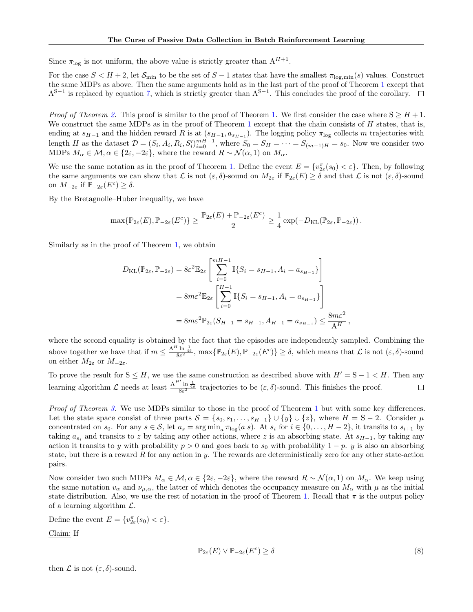Since  $\pi_{\text{log}}$  is not uniform, the above value is strictly greater than  $A^{H+1}$ .

For the case  $S < H + 2$ , let  $S_{\text{min}}$  to be the set of  $S - 1$  states that have the smallest  $\pi_{\text{log,min}}(s)$  values. Construct the same MDPs as above. Then the same arguments hold as in the last part of the proof of Theorem [1](#page-4-0) except that  $A^{S-1}$  is replaced by equation [7,](#page-14-2) which is strictly greater than  $A^{S-1}$ . This concludes the proof of the corollary.

*Proof of Theorem [2.](#page-5-2)* This proof is similar to the proof of Theorem [1.](#page-4-0) We first consider the case where  $S \geq H + 1$ . We construct the same MDPs as in the proof of Theorem [1](#page-4-0) except that the chain consists of  $H$  states, that is, ending at  $s_{H-1}$  and the hidden reward R is at  $(s_{H-1}, a_{s_{H-1}})$ . The logging policy  $\pi_{\log}$  collects m trajectories with length H as the dataset  $\mathcal{D} = (S_i, A_i, R_i, S_i')_{i=0}^{mH-1}$ , where  $S_0 = S_H = \cdots = S_{(m-1)H} = s_0$ . Now we consider two MDPs  $M_{\alpha} \in \mathcal{M}, \alpha \in \{2\varepsilon, -2\varepsilon\}$ , where the reward  $R \sim \mathcal{N}(\alpha, 1)$  on  $M_{\alpha}$ .

We use the same notation as in the proof of Theorem [1.](#page-4-0) Define the event  $E = \{v_{2\varepsilon}^{\pi}(s_0) < \varepsilon\}$ . Then, by following the same arguments we can show that  $\mathcal L$  is not  $(\varepsilon, \delta)$ -sound on  $M_{2\varepsilon}$  if  $\mathbb P_{2\varepsilon}(E) \geq \delta$  and that  $\mathcal L$  is not  $(\varepsilon, \delta)$ -sound on  $M_{-2\varepsilon}$  if  $\widetilde{\mathbb{P}}_{-2\varepsilon}(E^c) \geq \delta$ .

By the Bretagnolle–Huber inequality, we have

$$
\max\{\mathbb{P}_{2\varepsilon}(E),\mathbb{P}_{-2\varepsilon}(E^c)\}\geq \frac{\mathbb{P}_{2\varepsilon}(E)+\mathbb{P}_{-2\varepsilon}(E^c)}{2}\geq \frac{1}{4}\exp(-D_{\text{KL}}(\mathbb{P}_{2\varepsilon},\mathbb{P}_{-2\varepsilon}))\,.
$$

Similarly as in the proof of Theorem [1,](#page-4-0) we obtain

$$
D_{\text{KL}}(\mathbb{P}_{2\varepsilon}, \mathbb{P}_{-2\varepsilon}) = 8\varepsilon^{2} \mathbb{E}_{2\varepsilon} \left[ \sum_{i=0}^{mH-1} \mathbb{I}\{S_{i} = s_{H-1}, A_{i} = a_{s_{H-1}}\} \right]
$$
  
=  $8m\varepsilon^{2} \mathbb{E}_{2\varepsilon} \left[ \sum_{i=0}^{H-1} \mathbb{I}\{S_{i} = s_{H-1}, A_{i} = a_{s_{H-1}}\} \right]$   
=  $8m\varepsilon^{2} \mathbb{P}_{2\varepsilon} (S_{H-1} = s_{H-1}, A_{H-1} = a_{s_{H-1}}) \le \frac{8m\varepsilon^{2}}{A^{H}},$ 

where the second equality is obtained by the fact that the episodes are independently sampled. Combining the above together we have that if  $m \leq \frac{A^H \ln \frac{1}{4\delta}}{8\varepsilon^2}$ ,  $\max{\{\mathbb{P}_{2\varepsilon}(E), \mathbb{P}_{-2\varepsilon}(E^c)\}} \geq \delta$ , which means that  $\mathcal L$  is not  $(\varepsilon, \delta)$ -sound on either  $M_{2\varepsilon}$  or  $M_{-2\varepsilon}$ .

To prove the result for  $S \leq H$ , we use the same construction as described above with  $H' = S - 1 \leq H$ . Then any learning algorithm  $\mathcal L$  needs at least  $\frac{A^{H'} \ln \frac{1}{4\delta}}{8\varepsilon^2}$  trajectories to be  $(\varepsilon, \delta)$ -sound. This finishes the proof.  $\Box$ 

Proof of Theorem [3.](#page-5-3) We use MDPs similar to those in the proof of Theorem [1](#page-4-0) but with some key differences. Let the state space consist of three parts  $S = \{s_0, s_1, \ldots, s_{H-1}\} \cup \{y\} \cup \{z\}$ , where  $H = S - 2$ . Consider  $\mu$ concentrated on  $s_0$ . For any  $s \in \mathcal{S}$ , let  $a_s = \arg \min_a \pi_{\log}(a|s)$ . At  $s_i$  for  $i \in \{0, \ldots, H-2\}$ , it transits to  $s_{i+1}$  by taking  $a_{s_i}$  and transits to z by taking any other actions, where z is an absorbing state. At  $s_{H-1}$ , by taking any action it transits to y with probability  $p > 0$  and goes back to  $s_0$  with probability  $1 - p$ . y is also an absorbing state, but there is a reward  $R$  for any action in  $y$ . The rewards are deterministically zero for any other state-action pairs.

Now consider two such MDPs  $M_\alpha \in \mathcal{M}, \alpha \in \{2\varepsilon, -2\varepsilon\}$ , where the reward  $R \sim \mathcal{N}(\alpha, 1)$  on  $M_\alpha$ . We keep using the same notation  $v_{\alpha}$  and  $\nu_{\mu,\alpha}$ , the latter of which denotes the occupancy measure on  $M_{\alpha}$  with  $\mu$  as the initial state distribution. Also, we use the rest of notation in the proof of Theorem [1.](#page-4-0) Recall that  $\pi$  is the output policy of a learning algorithm  $\mathcal{L}$ .

Define the event  $E = \{v_{2\varepsilon}^{\pi}(s_0) < \varepsilon\}.$ 

Claim: If

$$
\mathbb{P}_{2\varepsilon}(E) \vee \mathbb{P}_{-2\varepsilon}(E^c) \ge \delta \tag{8}
$$

then  $\mathcal L$  is not  $(\varepsilon, \delta)$ -sound.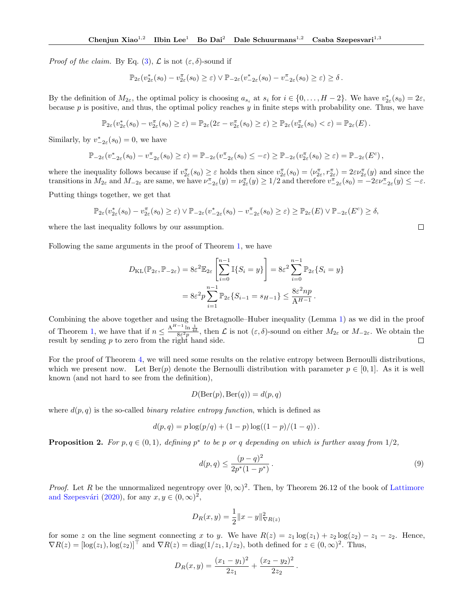*Proof of the claim.* By Eq. [\(3\)](#page-12-1),  $\mathcal{L}$  is not  $(\varepsilon, \delta)$ -sound if

$$
\mathbb{P}_{2\varepsilon}(v_{2\varepsilon}^*(s_0)-v_{2\varepsilon}^{\pi}(s_0)\geq \varepsilon)\vee \mathbb{P}_{-2\varepsilon}(v_{-2\varepsilon}^*(s_0)-v_{-2\varepsilon}^{\pi}(s_0)\geq \varepsilon)\geq \delta\,.
$$

By the definition of  $M_{2\varepsilon}$ , the optimal policy is choosing  $a_{s_i}$  at  $s_i$  for  $i \in \{0, ..., H-2\}$ . We have  $v_{2\varepsilon}^*(s_0) = 2\varepsilon$ , because p is positive, and thus, the optimal policy reaches  $y$  in finite steps with probability one. Thus, we have

$$
\mathbb{P}_{2\varepsilon}(v_{2\varepsilon}^*(s_0)-v_{2\varepsilon}^{\pi}(s_0)\geq \varepsilon)=\mathbb{P}_{2\varepsilon}(2\varepsilon-v_{2\varepsilon}^{\pi}(s_0)\geq \varepsilon)\geq \mathbb{P}_{2\varepsilon}(v_{2\varepsilon}^{\pi}(s_0)<\varepsilon)=\mathbb{P}_{2\varepsilon}(E).
$$

Similarly, by  $v_{-2\varepsilon}^*(s_0) = 0$ , we have

$$
\mathbb{P}_{-2\varepsilon}(v_{-2\varepsilon}^*(s_0)-v_{-2\varepsilon}^{\pi}(s_0)\geq \varepsilon)=\mathbb{P}_{-2\varepsilon}(v_{-2\varepsilon}^{\pi}(s_0)\leq -\varepsilon)\geq \mathbb{P}_{-2\varepsilon}(v_{2\varepsilon}^{\pi}(s_0)\geq \varepsilon)=\mathbb{P}_{-2\varepsilon}(E^c),
$$

where the inequality follows because if  $v_{2\varepsilon}^{\pi}(s_0) \geq \varepsilon$  holds then since  $v_{2\varepsilon}^{\pi}(s_0) = \langle \nu_{2\varepsilon}^{\pi}, r_{2\varepsilon}^{\pi} \rangle = 2\varepsilon \nu_{2\varepsilon}^{\pi}(y)$  and since the transitions in  $M_{2\varepsilon}$  and  $M_{-2\varepsilon}$  are same, we have  $\nu_{-2\varepsilon}^{\pi}(y) = \nu_{2\varepsilon}^{\pi}(y) \ge 1/2$  and therefore  $\nu_{-2\varepsilon}^{\pi}(s_0) = -2\varepsilon \nu_{-2\varepsilon}^{\pi}(y) \le -\varepsilon$ .

Putting things together, we get that

$$
\mathbb{P}_{2\varepsilon}(v_{2\varepsilon}^*(s_0) - v_{2\varepsilon}^{\pi}(s_0) \geq \varepsilon) \vee \mathbb{P}_{2\varepsilon}(v_{2\varepsilon}^*(s_0) - v_{2\varepsilon}^{\pi}(s_0) \geq \varepsilon) \geq \mathbb{P}_{2\varepsilon}(E) \vee \mathbb{P}_{2\varepsilon}(E^c) \geq \delta,
$$

where the last inequality follows by our assumption.

Following the same arguments in the proof of Theorem [1,](#page-4-0) we have

$$
D_{\text{KL}}(\mathbb{P}_{2\varepsilon}, \mathbb{P}_{-2\varepsilon}) = 8\varepsilon^2 \mathbb{E}_{2\varepsilon} \left[ \sum_{i=0}^{n-1} \mathbb{I}\{S_i = y\} \right] = 8\varepsilon^2 \sum_{i=0}^{n-1} \mathbb{P}_{2\varepsilon} \{S_i = y\}
$$

$$
= 8\varepsilon^2 p \sum_{i=1}^{n-1} \mathbb{P}_{2\varepsilon} \{S_{i-1} = s_{H-1}\} \le \frac{8\varepsilon^2 np}{A^{H-1}}.
$$

Combining the above together and using the Bretagnolle–Huber inequality (Lemma [1\)](#page-12-2) as we did in the proof of Theorem [1,](#page-4-0) we have that if  $n \leq \frac{A^{H-1} \ln \frac{1}{4\delta}}{8\varepsilon^2 p}$ , then  $\mathcal L$  is not  $(\varepsilon, \delta)$ -sound on either  $M_{2\varepsilon}$  or  $M_{-2\varepsilon}$ . We obtain the result by sending  $p$  to zero from the right hand side.

For the proof of Theorem [4,](#page-5-4) we will need some results on the relative entropy between Bernoulli distributions, which we present now. Let  $\text{Ber}(p)$  denote the Bernoulli distribution with parameter  $p \in [0,1]$ . As it is well known (and not hard to see from the definition),

$$
D(\text{Ber}(p), \text{Ber}(q)) = d(p, q)
$$

where  $d(p, q)$  is the so-called *binary relative entropy function*, which is defined as

$$
d(p,q) = p \log(p/q) + (1-p) \log((1-p)/(1-q)).
$$

<span id="page-16-0"></span>**Proposition 2.** For  $p, q \in (0, 1)$ , defining  $p^*$  to be p or q depending on which is further away from  $1/2$ ,

$$
d(p,q) \le \frac{(p-q)^2}{2p^*(1-p^*)} \,. \tag{9}
$$

 $\Box$ 

*Proof.* Let R be the unnormalized negentropy over  $[0,\infty)^2$ . Then, by Theorem 26.12 of the book of [Lattimore](#page-9-26) and Szepesvári [\(2020\)](#page-9-26), for any  $x, y \in (0, \infty)^2$ ,

$$
D_R(x, y) = \frac{1}{2} ||x - y||_{\nabla R(z)}^2
$$

for some z on the line segment connecting x to y. We have  $R(z) = z_1 \log(z_1) + z_2 \log(z_2) - z_1 - z_2$ . Hence,  $\nabla R(z) = [\log(z_1), \log(z_2)]^\top$  and  $\nabla R(z) = \text{diag}(1/z_1, 1/z_2)$ , both defined for  $z \in (0, \infty)^2$ . Thus,

$$
D_R(x,y) = \frac{(x_1 - y_1)^2}{2z_1} + \frac{(x_2 - y_2)^2}{2z_2}.
$$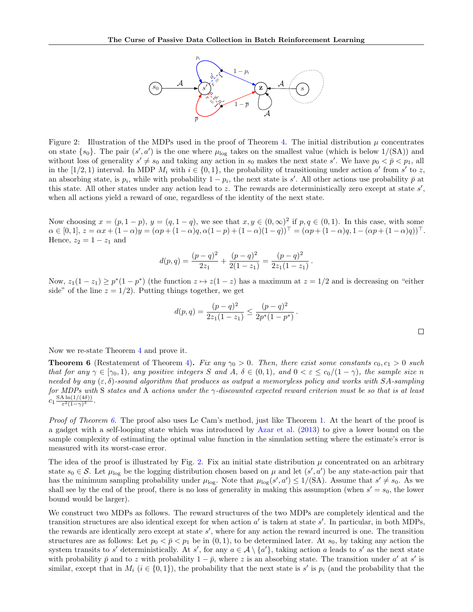

<span id="page-17-1"></span>Figure 2: Illustration of the MDPs used in the proof of Theorem [4.](#page-5-4) The initial distribution  $\mu$  concentrates on state  $\{s_0\}$ . The pair  $(s', a')$  is the one where  $\mu_{\text{log}}$  takes on the smallest value (which is below  $1/(\text{SA})$ ) and without loss of generality  $s' \neq s_0$  and taking any action in  $s_0$  makes the next state s'. We have  $p_0 < \bar{p} < p_1$ , all in the [1/2, 1) interval. In MDP  $M_i$  with  $i \in \{0,1\}$ , the probability of transitioning under action  $a'$  from  $s'$  to z, an absorbing state, is  $p_i$ , while with probability  $1 - p_i$ , the next state is s'. All other actions use probability  $\bar{p}$  at this state. All other states under any action lead to z. The rewards are deterministically zero except at state  $s'$ , when all actions yield a reward of one, regardless of the identity of the next state.

Now choosing  $x = (p, 1-p), y = (q, 1-q)$ , we see that  $x, y \in (0, \infty)^2$  if  $p, q \in (0, 1)$ . In this case, with some  $\alpha \in [0,1], z = \alpha x + (1-\alpha)y = (\alpha p + (1-\alpha)q, \alpha(1-p) + (1-\alpha)(1-q))^{\top} = (\alpha p + (1-\alpha)q, 1-(\alpha p + (1-\alpha)q))^{\top}.$ Hence,  $z_2 = 1 - z_1$  and

$$
d(p,q) = \frac{(p-q)^2}{2z_1} + \frac{(p-q)^2}{2(1-z_1)} = \frac{(p-q)^2}{2z_1(1-z_1)}.
$$

Now,  $z_1(1-z_1) \ge p^*(1-p^*)$  (the function  $z \mapsto z(1-z)$  has a maximum at  $z = 1/2$  and is decreasing on "either side" of the line  $z = 1/2$ . Putting things together, we get

$$
d(p,q) = \frac{(p-q)^2}{2z_1(1-z_1)} \le \frac{(p-q)^2}{2p^*(1-p^*)}.
$$

Now we re-state Theorem [4](#page-5-4) and prove it.

<span id="page-17-0"></span>**Theorem 6** (Restatement of Theorem [4\)](#page-5-4). Fix any  $\gamma_0 > 0$ . Then, there exist some constants  $c_0, c_1 > 0$  such that for any  $\gamma \in [\gamma_0, 1)$ , any positive integers S and A,  $\delta \in (0, 1)$ , and  $0 < \varepsilon \le c_0/(1 - \gamma)$ , the sample size n needed by any  $(\varepsilon, \delta)$ -sound algorithm that produces as output a memoryless policy and works with SA-sampling for MDPs with S states and A actions under the  $\gamma$ -discounted expected reward criterion must be so that is at least  $c_1 \frac{\text{SA} \ln(1/(4\delta))}{\epsilon^2 (1-\gamma)^3}$  $\frac{\sin(1/(4\delta))}{\varepsilon^2(1-\gamma)^3}.$ 

Proof of Theorem [6.](#page-17-0) The proof also uses Le Cam's method, just like Theorem [1.](#page-4-0) At the heart of the proof is a gadget with a self-looping state which was introduced by [Azar et al.](#page-8-10) [\(2013\)](#page-8-10) to give a lower bound on the sample complexity of estimating the optimal value function in the simulation setting where the estimate's error is measured with its worst-case error.

The idea of the proof is illustrated by Fig. [2.](#page-17-1) Fix an initial state distribution  $\mu$  concentrated on an arbitrary state  $s_0 \in \mathcal{S}$ . Let  $\mu_{\text{log}}$  be the logging distribution chosen based on  $\mu$  and let  $(s', a')$  be any state-action pair that has the minimum sampling probability under  $\mu_{\text{log}}$ . Note that  $\mu_{\text{log}}(s', a') \leq 1/(SA)$ . Assume that  $s' \neq s_0$ . As we shall see by the end of the proof, there is no loss of generality in making this assumption (when  $s' = s_0$ , the lower bound would be larger).

We construct two MDPs as follows. The reward structures of the two MDPs are completely identical and the transition structures are also identical except for when action  $a'$  is taken at state  $s'$ . In particular, in both MDPs, the rewards are identically zero except at state  $s'$ , where for any action the reward incurred is one. The transition structures are as follows: Let  $p_0 < \bar{p} < p_1$  be in  $(0, 1)$ , to be determined later. At  $s_0$ , by taking any action the system transits to s' deterministically. At s', for any  $a \in \mathcal{A} \setminus \{a'\}$ , taking action a leads to s' as the next state with probability  $\bar{p}$  and to z with probability  $1-\bar{p}$ , where z is an absorbing state. The transition under a' at s' is similar, except that in  $M_i$   $(i \in \{0,1\})$ , the probability that the next state is s' is  $p_i$  (and the probability that the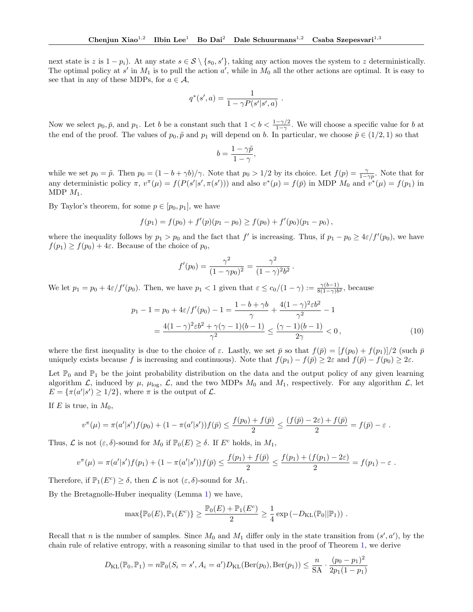next state is z is  $1 - p_i$ ). At any state  $s \in S \setminus \{s_0, s'\}$ , taking any action moves the system to z deterministically. The optimal policy at  $s'$  in  $M_1$  is to pull the action  $a'$ , while in  $M_0$  all the other actions are optimal. It is easy to see that in any of these MDPs, for  $a \in \mathcal{A}$ ,

$$
q^*(s', a) = \frac{1}{1 - \gamma P(s'|s', a)}
$$

.

Now we select  $p_0, \bar{p}$ , and  $p_1$ . Let b be a constant such that  $1 < b < \frac{1-\gamma/2}{1-\gamma}$ . We will choose a specific value for b at the end of the proof. The values of  $p_0, \tilde{p}$  and  $p_1$  will depend on b. In particular, we choose  $\tilde{p} \in (1/2, 1)$  so that

$$
b = \frac{1 - \gamma \tilde{p}}{1 - \gamma},
$$

while we set  $p_0 = \tilde{p}$ . Then  $p_0 = (1 - b + \gamma b)/\gamma$ . Note that  $p_0 > 1/2$  by its choice. Let  $f(p) = \frac{\gamma}{1-\gamma p}$ . Note that for any deterministic policy  $\pi$ ,  $v^{\pi}(\mu) = f(P(s'|s', \pi(s')))$  and also  $v^{\ast}(\mu) = f(\bar{p})$  in MDP  $M_0$  and  $v^{\ast}(\mu) = f(p_1)$  in MDP  $M_1$ .

By Taylor's theorem, for some  $p \in [p_0, p_1]$ , we have

$$
f(p_1) = f(p_0) + f'(p)(p_1 - p_0) \ge f(p_0) + f'(p_0)(p_1 - p_0),
$$

where the inequality follows by  $p_1 > p_0$  and the fact that f' is increasing. Thus, if  $p_1 - p_0 \ge 4\varepsilon/f'(p_0)$ , we have  $f(p_1) \ge f(p_0) + 4\varepsilon$ . Because of the choice of  $p_0$ ,

$$
f'(p_0) = \frac{\gamma^2}{(1 - \gamma p_0)^2} = \frac{\gamma^2}{(1 - \gamma)^2 b^2}
$$

We let  $p_1 = p_0 + 4\varepsilon/f'(p_0)$ . Then, we have  $p_1 < 1$  given that  $\varepsilon \leq c_0/(1-\gamma) := \frac{\gamma(b-1)}{8(1-\gamma)b^2}$ , because

$$
p_1 - 1 = p_0 + 4\varepsilon/f'(p_0) - 1 = \frac{1 - b + \gamma b}{\gamma} + \frac{4(1 - \gamma)^2 \varepsilon b^2}{\gamma^2} - 1
$$
  
= 
$$
\frac{4(1 - \gamma)^2 \varepsilon b^2 + \gamma(\gamma - 1)(b - 1)}{\gamma^2} \le \frac{(\gamma - 1)(b - 1)}{2\gamma} < 0,
$$
 (10)

<span id="page-18-0"></span>.

 $\ddot{\phantom{2}}$ 

where the first inequality is due to the choice of  $\varepsilon$ . Lastly, we set  $\bar{p}$  so that  $f(\bar{p}) = [f(p_0) + f(p_1)]/2$  (such  $\bar{p}$ uniquely exists because f is increasing and continuous). Note that  $f(p_1) - f(\bar{p}) \geq 2\varepsilon$  and  $f(\bar{p}) - f(p_0) \geq 2\varepsilon$ .

Let  $\mathbb{P}_0$  and  $\mathbb{P}_1$  be the joint probability distribution on the data and the output policy of any given learning algorithm  $\mathcal{L}$ , induced by  $\mu$ ,  $\mu_{\text{log}}$ ,  $\mathcal{L}$ , and the two MDPs  $M_0$  and  $M_1$ , respectively. For any algorithm  $\mathcal{L}$ , let  $E = \{\pi(a'|s') \geq 1/2\}$ , where  $\pi$  is the output of  $\mathcal{L}$ .

If E is true, in  $M_0$ ,

$$
v^{\pi}(\mu) = \pi(a'|s')f(p_0) + (1 - \pi(a'|s'))f(\bar{p}) \leq \frac{f(p_0) + f(\bar{p})}{2} \leq \frac{(f(\bar{p}) - 2\varepsilon) + f(\bar{p})}{2} = f(\bar{p}) - \varepsilon.
$$

Thus,  $\mathcal L$  is not  $(\varepsilon, \delta)$ -sound for  $M_0$  if  $\mathbb P_0(E) \geq \delta$ . If  $E^c$  holds, in  $M_1$ ,

$$
v^{\pi}(\mu) = \pi(a'|s')f(p_1) + (1 - \pi(a'|s'))f(\bar{p}) \leq \frac{f(p_1) + f(\bar{p})}{2} \leq \frac{f(p_1) + (f(p_1) - 2\varepsilon)}{2} = f(p_1) - \varepsilon.
$$

Therefore, if  $\mathbb{P}_1(E^c) \ge \delta$ , then  $\mathcal L$  is not  $(\varepsilon, \delta)$ -sound for  $M_1$ .

By the Bretagnolle-Huber inequality (Lemma [1\)](#page-12-2) we have,

$$
\max\{\mathbb{P}_0(E),\mathbb{P}_1(E^c)\}\geq \frac{\mathbb{P}_0(E)+\mathbb{P}_1(E^c)}{2}\geq \frac{1}{4}\exp(-D_{\text{KL}}(\mathbb{P}_0||\mathbb{P}_1))\;.
$$

Recall that n is the number of samples. Since  $M_0$  and  $M_1$  differ only in the state transition from  $(s', a')$ , by the chain rule of relative entropy, with a reasoning similar to that used in the proof of Theorem [1,](#page-4-0) we derive

$$
D_{\text{KL}}(\mathbb{P}_0, \mathbb{P}_1) = n \mathbb{P}_0(S_i = s', A_i = a') D_{\text{KL}}(\text{Ber}(p_0), \text{Ber}(p_1)) \le \frac{n}{\text{SA}} \cdot \frac{(p_0 - p_1)^2}{2p_1(1 - p_1)}
$$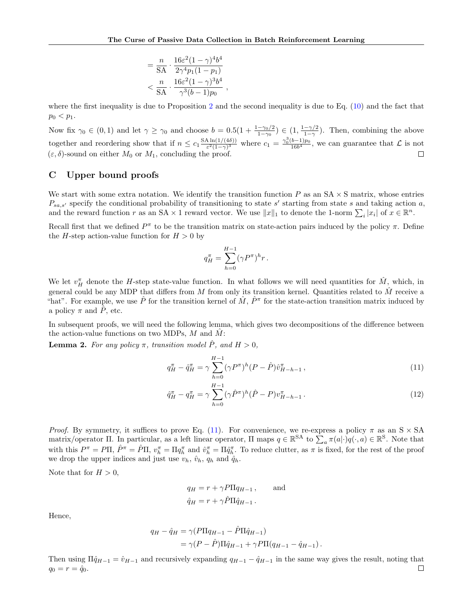$$
= \frac{n}{SA} \cdot \frac{16\varepsilon^2 (1-\gamma)^4 b^4}{2\gamma^4 p_1 (1-p_1)}
$$

$$
< \frac{n}{SA} \cdot \frac{16\varepsilon^2 (1-\gamma)^3 b^4}{\gamma^3 (b-1) p_0}
$$

where the first inequality is due to Proposition [2](#page-16-0) and the second inequality is due to Eq.  $(10)$  and the fact that  $p_0 < p_1$ .

,

Now fix  $\gamma_0 \in (0,1)$  and let  $\gamma \ge \gamma_0$  and choose  $b = 0.5(1 + \frac{1-\gamma_0/2}{1-\gamma_0}) \in (1, \frac{1-\gamma/2}{1-\gamma})$  $\frac{-\gamma/2}{1-\gamma}$ ). Then, combining the above  $\frac{\Delta \ln(1/(4\delta))}{\epsilon^2(1-\gamma)^3}$  where  $c_1 = \frac{\gamma_0^3(b-1)p_0}{16b^4}$ , we can guarantee that  $\mathcal L$  is not together and reordering show that if  $n \leq c_1 \frac{\text{SA} \ln(1/(4\delta))}{\epsilon^2 (1-\gamma)^3}$  $(\varepsilon, \delta)$ -sound on either  $M_0$  or  $M_1$ , concluding the proof. □

### C Upper bound proofs

We start with some extra notation. We identify the transition function  $P$  as an  $SA \times S$  matrix, whose entries  $P_{sa,s'}$  specify the conditional probability of transitioning to state s' starting from state s and taking action a, and the reward function r as an SA  $\times$  1 reward vector. We use  $||x||_1$  to denote the 1-norm  $\sum_i |x_i|$  of  $x \in \mathbb{R}^n$ .

Recall first that we defined  $P^{\pi}$  to be the transition matrix on state-action pairs induced by the policy  $\pi$ . Define the H-step action-value function for  $H > 0$  by

<span id="page-19-0"></span>
$$
q_H^\pi = \sum_{h=0}^{H-1} (\gamma P^\pi)^h r.
$$

We let  $v_H^{\pi}$  denote the H-step state-value function. In what follows we will need quantities for  $\hat{M}$ , which, in general could be any MDP that differs from M from only its transition kernel. Quantities related to  $\hat{M}$  receive a "hat". For example, we use  $\hat{P}$  for the transition kernel of  $\hat{M}$ ,  $\hat{P}^{\pi}$  for the state-action transition matrix induced by a policy  $\pi$  and  $\hat{P}$ , etc.

In subsequent proofs, we will need the following lemma, which gives two decompositions of the difference between the action-value functions on two MDPs,  $M$  and  $M$ :

**Lemma 2.** For any policy  $\pi$ , transition model  $\hat{P}$ , and  $H > 0$ ,

$$
q_H^{\pi} - \hat{q}_H^{\pi} = \gamma \sum_{h=0}^{H-1} (\gamma P^{\pi})^h (P - \hat{P}) \hat{v}_{H-h-1}^{\pi} , \qquad (11)
$$

<span id="page-19-1"></span>
$$
\hat{q}_{H}^{\pi} - q_{H}^{\pi} = \gamma \sum_{h=0}^{H-1} (\gamma \hat{P}^{\pi})^{h} (\hat{P} - P) v_{H-h-1}^{\pi} . \tag{12}
$$

*Proof.* By symmetry, it suffices to prove Eq. [\(11\)](#page-19-0). For convenience, we re-express a policy  $\pi$  as an S  $\times$  SA matrix/operator  $\Pi$ . In particular, as a left linear operator,  $\Pi$  maps  $q \in \mathbb{R}^{SA}$  to  $\sum_a \pi(a|\cdot)q(\cdot,a) \in \mathbb{R}^S$ . Note that with this  $P^{\pi} = P\Pi$ ,  $\hat{P}^{\pi} = \hat{P}\Pi$ ,  $v_h^{\pi} = \Pi q_h^{\pi}$  and  $\hat{v}_h^{\pi} = \Pi \hat{q}_h^{\pi}$ . To reduce clutter, as  $\pi$  is fixed, for the rest of the proof we drop the upper indices and just use  $v_h$ ,  $\hat{v}_h$ ,  $q_h$  and  $\hat{q}_h$ .

Note that for  $H > 0$ ,

$$
q_H = r + \gamma P \Pi q_{H-1}, \quad \text{and}
$$
  

$$
\hat{q}_H = r + \gamma \hat{P} \Pi \hat{q}_{H-1}.
$$

Hence,

$$
q_H - \hat{q}_H = \gamma (P\Pi q_{H-1} - \hat{P}\Pi \hat{q}_{H-1})
$$
  
=  $\gamma (P - \hat{P})\Pi \hat{q}_{H-1} + \gamma P\Pi (q_{H-1} - \hat{q}_{H-1}).$ 

Then using  $\Pi \hat{q}_{H-1} = \hat{v}_{H-1}$  and recursively expanding  $q_{H-1} - \hat{q}_{H-1}$  in the same way gives the result, noting that  $\Box$  $q_0 = r = \hat{q}_0.$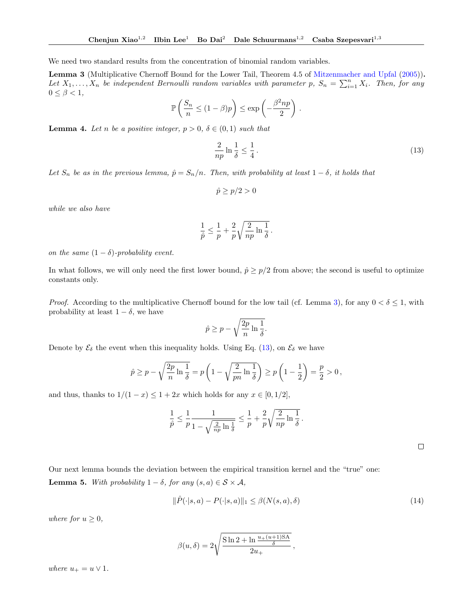<span id="page-20-0"></span>We need two standard results from the concentration of binomial random variables.

Lemma 3 (Multiplicative Chernoff Bound for the Lower Tail, Theorem 4.5 of [Mitzenmacher and Upfal](#page-9-27) [\(2005\)](#page-9-27)). Let  $X_1, \ldots, X_n$  be independent Bernoulli random variables with parameter p,  $S_n = \sum_{i=1}^n X_i$ . Then, for any  $0 \leq \beta < 1$ ,

$$
\mathbb{P}\left(\frac{S_n}{n} \le (1-\beta)p\right) \le \exp\left(-\frac{\beta^2np}{2}\right).
$$

<span id="page-20-3"></span>**Lemma 4.** Let n be a positive integer,  $p > 0$ ,  $\delta \in (0,1)$  such that

<span id="page-20-1"></span>
$$
\frac{2}{np}\ln\frac{1}{\delta} \le \frac{1}{4} \,. \tag{13}
$$

Let  $S_n$  be as in the previous lemma,  $\hat{p} = S_n/n$ . Then, with probability at least  $1 - \delta$ , it holds that

$$
\hat{p} \ge p/2 > 0
$$

while we also have

$$
\frac{1}{\hat{p}} \leq \frac{1}{p} + \frac{2}{p} \sqrt{\frac{2}{np} \ln \frac{1}{\delta}} \,.
$$

on the same  $(1 - \delta)$ -probability event.

In what follows, we will only need the first lower bound,  $\hat{p} \geq p/2$  from above; the second is useful to optimize constants only.

*Proof.* According to the multiplicative Chernoff bound for the low tail (cf. Lemma [3\)](#page-20-0), for any  $0 < \delta \leq 1$ , with probability at least  $1 - \delta$ , we have

$$
\hat{p} \ge p - \sqrt{\frac{2p}{n} \ln \frac{1}{\delta}}.
$$

Denote by  $\mathcal{E}_{\delta}$  the event when this inequality holds. Using Eq. [\(13\)](#page-20-1), on  $\mathcal{E}_{\delta}$  we have

$$
\hat{p} \ge p - \sqrt{\frac{2p}{n} \ln \frac{1}{\delta}} = p \left( 1 - \sqrt{\frac{2}{pn} \ln \frac{1}{\delta}} \right) \ge p \left( 1 - \frac{1}{2} \right) = \frac{p}{2} > 0,
$$

and thus, thanks to  $1/(1-x) \leq 1+2x$  which holds for any  $x \in [0,1/2]$ ,

$$
\frac{1}{\hat{p}} \leq \frac{1}{p} \frac{1}{1 - \sqrt{\frac{2}{np} \ln \frac{1}{\delta}}} \leq \frac{1}{p} + \frac{2}{p} \sqrt{\frac{2}{np} \ln \frac{1}{\delta}}.
$$

 $\Box$ 

<span id="page-20-2"></span>Our next lemma bounds the deviation between the empirical transition kernel and the "true" one: **Lemma 5.** With probability  $1 - \delta$ , for any  $(s, a) \in S \times A$ ,

$$
\|\hat{P}(\cdot|s,a) - P(\cdot|s,a)\|_1 \le \beta(N(s,a),\delta)
$$
\n(14)

,

where for  $u \geq 0$ ,

$$
\beta(u,\delta) = 2\sqrt{\frac{\sin 2 + \ln \frac{u_+(u+1)SA}{\delta}}{2u_+}}
$$

where  $u_+ = u \vee 1$ .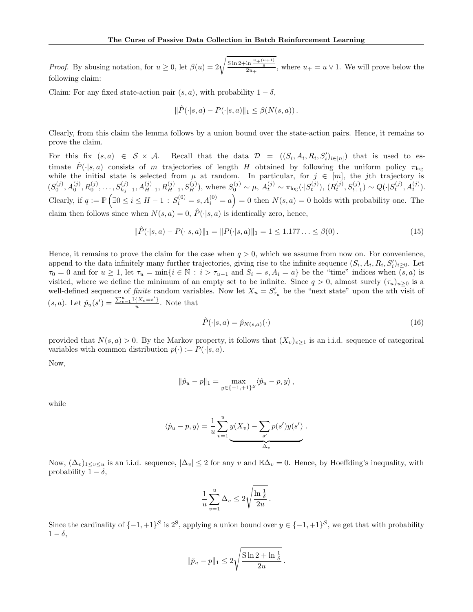*Proof.* By abusing notation, for  $u \geq 0$ , let  $\beta(u) = 2\sqrt{\frac{\sin 2 + \ln \frac{u + (u+1)}{\delta}}{2u_+}},$  where  $u_+ = u \vee 1$ . We will prove below the following claim:

Claim: For any fixed state-action pair  $(s, a)$ , with probability  $1 - \delta$ ,

$$
\|\hat{P}(\cdot|s,a) - P(\cdot|s,a)\|_1 \leq \beta(N(s,a))\,.
$$

Clearly, from this claim the lemma follows by a union bound over the state-action pairs. Hence, it remains to prove the claim.

For this fix  $(s,a) \in S \times A$ . Recall that the data  $D = ((S_i, A_i, R_i, S'_i)_{i \in [n]})$  that is used to estimate  $\hat{P}(\cdot|s,a)$  consists of m trajectories of length H obtained by following the uniform policy  $\pi_{\text{loc}}$ while the initial state is selected from  $\mu$  at random. In particular, for  $j \in [m]$ , the jth trajectory is  $(S_0^{(j)}, A_0^{(j)}, R_0^{(j)}, \ldots, S_{h_j-1}^{(j)}, A_{H-1}^{(j)}, R_{H-1}^{(j)}, S_H^{(j)})$ , where  $S_0^{(j)} \sim \mu$ ,  $A_t^{(j)} \sim \pi_{\log}(\cdot | S_t^{(j)})$ ,  $(R_t^{(j)}, S_{t+1}^{(j)}) \sim Q(\cdot | S_t^{(j)}, A_t^{(j)})$ . Clearly, if  $q := \mathbb{P}(\exists 0 \le i \le H - 1 : S_i^{(0)} = s, A_i^{(0)} = a) = 0$  then  $N(s, a) = 0$  holds with probability one. The claim then follows since when  $N(s, a) = 0$ ,  $\hat{P}(\cdot|s, a)$  is identically zero, hence,

$$
\|\hat{P}(\cdot|s,a) - P(\cdot|s,a)\|_1 = \|P(\cdot|s,a)\|_1 = 1 \le 1.177\ldots \le \beta(0).
$$
\n(15)

Hence, it remains to prove the claim for the case when  $q > 0$ , which we assume from now on. For convenience, append to the data infinitely many further trajectories, giving rise to the infinite sequence  $(S_i, A_i, R_i, S'_i)_{i\geq 0}$ . Let  $\tau_0 = 0$  and for  $u \ge 1$ , let  $\tau_u = \min\{i \in \mathbb{N} : i > \tau_{u-1} \text{ and } S_i = s, A_i = a\}$  be the "time" indices when  $(s, a)$  is visited, where we define the minimum of an empty set to be infinite. Since  $q > 0$ , almost surely  $(\tau_u)_{u>0}$  is a well-defined sequence of *finite* random variables. Now let  $X_u = S'_{\tau_u}$  be the "next state" upon the uth visit of  $(s, a)$ . Let  $\hat{p}_u(s') = \frac{\sum_{v=1}^u \mathbb{I}\{X_v = s'\}}{u}$  $\frac{1^{\Lambda_v=s} \cdot \mathbf{I}}{u}$ . Note that

<span id="page-21-1"></span><span id="page-21-0"></span>
$$
\hat{P}(\cdot|s,a) = \hat{p}_{N(s,a)}(\cdot) \tag{16}
$$

provided that  $N(s, a) > 0$ . By the Markov property, it follows that  $(X_v)_{v\geq 1}$  is an i.i.d. sequence of categorical variables with common distribution  $p(\cdot) := P(\cdot|s, a)$ .

Now,

$$
\|\hat{p}_u - p\|_1 = \max_{y \in \{-1, +1\}^S} \langle \hat{p}_u - p, y \rangle,
$$

while

$$
\langle \hat{p}_u - p, y \rangle = \frac{1}{u} \sum_{v=1}^u y(X_v) - \sum_{s'} p(s')y(s') .
$$

Now,  $(\Delta_v)_{1\leq v\leq u}$  is an i.i.d. sequence,  $|\Delta_v| \leq 2$  for any v and  $\mathbb{E}\Delta_v = 0$ . Hence, by Hoeffding's inequality, with probability  $1 - \delta$ ,

$$
\frac{1}{u}\sum_{v=1}^{u}\Delta_v \leq 2\sqrt{\frac{\ln\frac{1}{\delta}}{2u}}.
$$

Since the cardinality of  $\{-1,+1\}^{\mathcal{S}}$  is  $2^{\mathcal{S}}$ , applying a union bound over  $y \in \{-1,+1\}^{\mathcal{S}}$ , we get that with probability  $1 - \delta$ ,

$$
\|\hat{p}_u - p\|_1 \le 2\sqrt{\frac{\sin 2 + \ln \frac{1}{\delta}}{2u}}.
$$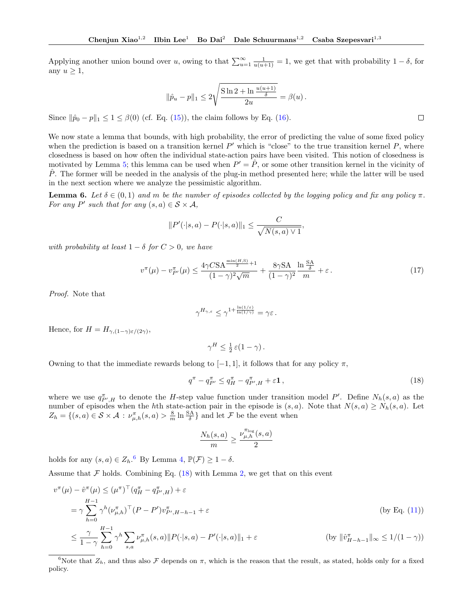Applying another union bound over u, owing to that  $\sum_{u=1}^{\infty} \frac{1}{u(u+1)} = 1$ , we get that with probability  $1 - \delta$ , for any  $u \geq 1$ ,

$$
\|\hat{p}_u - p\|_1 \le 2\sqrt{\frac{\sin 2 + \ln \frac{u(u+1)}{\delta}}{2u}} = \beta(u).
$$

Since  $\|\hat{p}_0 - p\|_1 \leq 1 \leq \beta(0)$  (cf. Eq. [\(15\)](#page-21-0)), the claim follows by Eq. [\(16\)](#page-21-1).

We now state a lemma that bounds, with high probability, the error of predicting the value of some fixed policy when the prediction is based on a transition kernel  $P'$  which is "close" to the true transition kernel  $P$ , where closedness is based on how often the individual state-action pairs have been visited. This notion of closedness is motivated by Lemma [5;](#page-20-2) this lemma can be used when  $P' = \hat{P}$ , or some other transition kernel in the vicinity of  $\hat{P}$ . The former will be needed in the analysis of the plug-in method presented here; while the latter will be used in the next section where we analyze the pessimistic algorithm.

<span id="page-22-2"></span>**Lemma 6.** Let  $\delta \in (0,1)$  and m be the number of episodes collected by the logging policy and fix any policy  $\pi$ . For any P' such that for any  $(s, a) \in S \times A$ ,

$$
||P'(\cdot|s,a) - P(\cdot|s,a)||_1 \leq \frac{C}{\sqrt{N(s,a)\vee 1}},
$$

with probability at least  $1 - \delta$  for  $C > 0$ , we have

$$
v^{\pi}(\mu) - v_{P'}^{\pi}(\mu) \le \frac{4\gamma C S A^{\frac{\min(H, S)}{2} + 1}}{(1 - \gamma)^2 \sqrt{m}} + \frac{8\gamma S A}{(1 - \gamma)^2} \frac{\ln \frac{S A}{\delta}}{m} + \varepsilon.
$$
 (17)

Proof. Note that

$$
\gamma^{H_{\gamma,\varepsilon}}\leq \gamma^{1+\frac{\ln(1/\varepsilon)}{\ln(1/\gamma)}}=\gamma\varepsilon\,.
$$

Hence, for  $H = H_{\gamma,(1-\gamma)\varepsilon/(2\gamma)},$ 

<span id="page-22-1"></span>
$$
\gamma^H \leq \frac{1}{2} \,\varepsilon (1 - \gamma) \,.
$$

Owning to that the immediate rewards belong to  $[-1, 1]$ , it follows that for any policy  $\pi$ ,

$$
q^{\pi} - q_{P'}^{\pi} \le q_H^{\pi} - q_{P',H}^{\pi} + \varepsilon \mathbf{1},\tag{18}
$$

where we use  $q_{P',H}^{\pi}$  to denote the *H*-step value function under transition model P'. Define  $N_h(s,a)$  as the number of episodes when the hth state-action pair in the episode is  $(s, a)$ . Note that  $N(s, a) \geq N_h(s, a)$ . Let  $Z_h = \{(s, a) \in \mathcal{S} \times \mathcal{A} : \nu_{\mu, h}^{\pi}(s, a) > \frac{8}{m} \ln \frac{SA}{\delta} \}$  and let  $\mathcal{F}$  be the event when

$$
\frac{N_h(s,a)}{m}\geq \frac{\nu^{\pi_{\log}}_{\mu,h}(s,a)}{2}
$$

holds for any  $(s, a) \in Z_h$ .<sup>[6](#page-22-0)</sup> By Lemma [4,](#page-20-3)  $\mathbb{P}(\mathcal{F}) \geq 1 - \delta$ .

Assume that  $\mathcal F$  holds. Combining Eq. [\(18\)](#page-22-1) with Lemma [2,](#page-19-1) we get that on this event

$$
v^{\pi}(\mu) - \hat{v}^{\pi}(\mu) \leq (\mu^{\pi})^{\top} (q^{\pi}_{H} - q^{\pi}_{P',H}) + \varepsilon
$$
  
\n
$$
= \gamma \sum_{h=0}^{H-1} \gamma^{h} (\nu^{\pi}_{\mu,h})^{\top} (P - P') v^{\pi}_{P',H-h-1} + \varepsilon
$$
 (by Eq. (11))  
\n
$$
\leq \frac{\gamma}{1-\gamma} \sum_{h=0}^{H-1} \gamma^{h} \sum_{s,a} \nu^{\pi}_{\mu,h}(s,a) \|P(\cdot|s,a) - P'(\cdot|s,a)\|_{1} + \varepsilon
$$
 (by  $\|\hat{v}^{\pi}_{H-h-1}\|_{\infty} \leq 1/(1-\gamma)$ )

<span id="page-22-0"></span><sup>6</sup>Note that  $Z_h$ , and thus also  $\mathcal F$  depends on  $\pi$ , which is the reason that the result, as stated, holds only for a fixed policy.

<span id="page-22-3"></span> $\Box$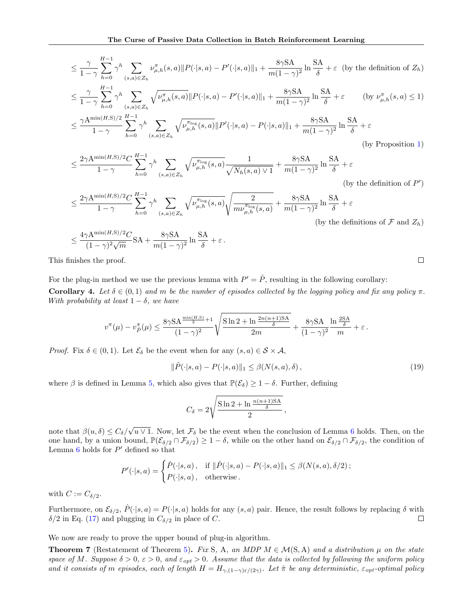$$
\leq \frac{\gamma}{1-\gamma} \sum_{h=0}^{H-1} \gamma^h \sum_{(s,a)\in Z_h} \nu_{\mu,h}^{\pi}(s,a) \|P(\cdot|s,a) - P'(\cdot|s,a)\|_1 + \frac{8\gamma SA}{m(1-\gamma)^2} \ln \frac{SA}{\delta} + \varepsilon \quad \text{(by the definition of } Z_h)
$$
\n
$$
\leq \frac{\gamma}{1-\gamma} \sum_{h=0}^{H-1} \gamma^h \sum_{(s,a)\in Z_h} \sqrt{\nu_{\mu,h}^{\pi}(s,a)} \|P(\cdot|s,a) - P'(\cdot|s,a)\|_1 + \frac{8\gamma SA}{m(1-\gamma)^2} \ln \frac{SA}{\delta} + \varepsilon \qquad \text{(by } \nu_{\mu,h}^{\pi}(s,a) \leq 1)
$$
\n
$$
\leq \frac{\gamma A^{\min(H,S)/2}}{1-\gamma} \sum_{h=0}^{H-1} \gamma^h \sum_{(s,a)\in Z_h} \sqrt{\nu_{\mu,h}^{\pi_{\log}(s,a)}} \|P'(\cdot|s,a) - P(\cdot|s,a)\|_1 + \frac{8\gamma SA}{m(1-\gamma)^2} \ln \frac{SA}{\delta} + \varepsilon \qquad \text{(by Proposition 1)}
$$

$$
\leq \frac{2\gamma A^{\min(H,S)/2}C}{1-\gamma}\sum_{h=0}^{H-1}\gamma^h\sum_{(s,a)\in Z_h}\sqrt{\nu^{\pi_{\log}}_{\mu,h}(s,a)}\frac{1}{\sqrt{N_h(s,a)\vee 1}}+\frac{8\gamma S A}{m(1-\gamma)^2}\ln\frac{SA}{\delta}+\varepsilon
$$

(by the definition of  $P'$ )

 $\varepsilon$ 

$$
\leq \frac{2\gamma A^{\min(H,S)/2}C}{1-\gamma}\sum_{h=0}^{H-1}\gamma^h\sum_{(s,a)\in Z_h}\sqrt{\nu^{\pi_{\log}}_{\mu,h}(s,a)}\sqrt{\frac{2}{m\nu^{\pi_{\log}}_{\mu,h}(s,a)}}+\frac{8\gamma SA}{m(1-\gamma)^2}\ln\frac{SA}{\delta}+\varepsilon
$$
\n(by the definitions of  $\mathcal{F}$  and  $Z_h$ )

$$
\leq \frac{4\gamma A^{\min(H,S)/2}C}{(1-\gamma)^2\sqrt{m}}SA + \frac{8\gamma SA}{m(1-\gamma)^2}\ln\frac{SA}{\delta} + \varepsilon.
$$

This finishes the proof.

<span id="page-23-0"></span>For the plug-in method we use the previous lemma with  $P' = \hat{P}$ , resulting in the following corollary: Corollary 4. Let  $\delta \in (0,1)$  and m be the number of episodes collected by the logging policy and fix any policy  $\pi$ . With probability at least  $1 - \delta$ , we have

$$
v^{\pi}(\mu) - v_{\hat{P}}^{\pi}(\mu) \le \frac{8\gamma \mathcal{S} \mathcal{A}^{\frac{\min(H,\mathcal{S})}{2}+1}}{(1-\gamma)^2} \sqrt{\frac{\mathcal{S}\ln 2 + \ln\frac{2n(n+1)\mathcal{S}\mathcal{A}}{\delta}}{2m}} + \frac{8\gamma \mathcal{S}\mathcal{A}}{(1-\gamma)^2} \frac{\ln\frac{2\mathcal{S}\mathcal{A}}{\delta}}{m} + \varepsilon.
$$

*Proof.* Fix  $\delta \in (0,1)$ . Let  $\mathcal{E}_{\delta}$  be the event when for any  $(s, a) \in \mathcal{S} \times \mathcal{A}$ ,

$$
\|\hat{P}(\cdot|s,a) - P(\cdot|s,a)\|_1 \le \beta(N(s,a),\delta),\tag{19}
$$

where  $\beta$  is defined in Lemma [5,](#page-20-2) which also gives that  $\mathbb{P}(\mathcal{E}_{\delta}) \geq 1 - \delta$ . Further, defining

$$
C_{\delta}=2\sqrt{\frac{\mathrm{S}\ln2+\ln\frac{n(n+1)\mathrm{SA}}{\delta}}{2}}\,,
$$

note that  $\beta(u,\delta) \leq C_{\delta}/$ √  $u$  ∨ 1. Now, let  $\mathcal{F}_{\delta}$  be the event when the conclusion of Lemma [6](#page-22-2) holds. Then, on the one hand, by a union bound,  $\mathbb{P}(\mathcal{E}_{\delta/2} \cap \mathcal{F}_{\delta/2}) \geq 1 - \delta$ , while on the other hand on  $\mathcal{E}_{\delta/2} \cap \mathcal{F}_{\delta/2}$ , the condition of Lemma [6](#page-22-2) holds for  $P'$  defined so that

$$
P'(\cdot|s,a) = \begin{cases} \hat{P}(\cdot|s,a), & \text{if } \|\hat{P}(\cdot|s,a) - P(\cdot|s,a)\|_1 \leq \beta(N(s,a), \delta/2) \\ P(\cdot|s,a), & \text{otherwise.} \end{cases}
$$

with  $C := C_{\delta/2}$ .

Furthermore, on  $\mathcal{E}_{\delta/2}$ ,  $\hat{P}(\cdot|s, a) = P(\cdot|s, a)$  holds for any  $(s, a)$  pair. Hence, the result follows by replacing  $\delta$  with  $\delta/2$  in Eq. [\(17\)](#page-22-3) and plugging in  $C_{\delta/2}$  in place of C.  $\Box$ 

We now are ready to prove the upper bound of plug-in algorithm.

<span id="page-23-2"></span>**Theorem 7** (Restatement of Theorem [5\)](#page-6-1). Fix S, A, an MDP  $M \in \mathcal{M}(S, A)$  and a distribution  $\mu$  on the state space of M. Suppose  $\delta > 0$ ,  $\varepsilon > 0$ , and  $\varepsilon_{opt} > 0$ . Assume that the data is collected by following the uniform policy and it consists of m episodes, each of length  $H = H_{\gamma,(1-\gamma)\varepsilon/(2\gamma)}$ . Let  $\hat{\pi}$  be any deterministic,  $\varepsilon_{opt}$ -optimal policy

<span id="page-23-1"></span> $\Box$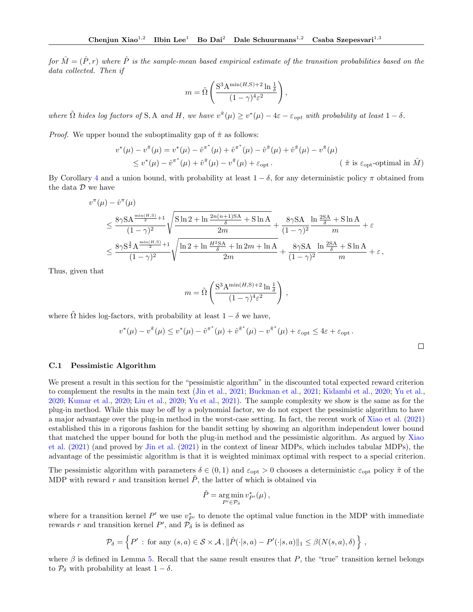for  $\hat{M} = (\hat{P}, r)$  where  $\hat{P}$  is the sample-mean based empirical estimate of the transition probabilities based on the data collected. Then if

$$
m = \tilde{\Omega}\left(\frac{\mathrm{S}^3\mathrm{A}^{\min(H,\mathrm{S})+2}\ln\frac{1}{\delta}}{(1-\gamma)^4\varepsilon^2}\right),
$$

where  $\tilde{\Omega}$  hides log factors of S, A and H, we have  $v^{\hat{\pi}}(\mu) \geq v^*(\mu) - 4\varepsilon - \varepsilon_{opt}$  with probability at least  $1 - \delta$ .

*Proof.* We upper bound the suboptimality gap of  $\hat{\pi}$  as follows:

$$
v^*(\mu) - v^{\hat{\pi}}(\mu) = v^*(\mu) - \hat{v}^{\pi^*}(\mu) + \hat{v}^{\pi^*}(\mu) - \hat{v}^{\hat{\pi}}(\mu) + \hat{v}^{\hat{\pi}}(\mu) - v^{\hat{\pi}}(\mu)
$$
  
\n
$$
\leq v^*(\mu) - \hat{v}^{\pi^*}(\mu) + \hat{v}^{\hat{\pi}}(\mu) - v^{\hat{\pi}}(\mu) + \varepsilon_{\text{opt}}.
$$
 ( $\hat{\pi}$  is  $\varepsilon_{\text{opt}}$ -optimal in  $\hat{M}$ )

By Corollary [4](#page-23-0) and a union bound, with probability at least  $1 - \delta$ , for any deterministic policy  $\pi$  obtained from the data  $D$  we have

$$
v^{\pi}(\mu) - \hat{v}^{\pi}(\mu)
$$
  
\n
$$
\leq \frac{8\gamma SA^{\frac{\min(H,S)}{2}+1}}{(1-\gamma)^2} \sqrt{\frac{S\ln 2 + \ln \frac{2n(n+1)SA}{\delta} + S\ln A}{2m}} + \frac{8\gamma SA}{(1-\gamma)^2} \frac{\ln \frac{2SA}{\delta} + S\ln A}{m} + \varepsilon
$$
  
\n
$$
\leq \frac{8\gamma S^{\frac{3}{2}} A^{\frac{\min(H,S)}{2}+1}}{(1-\gamma)^2} \sqrt{\frac{\ln 2 + \ln \frac{H^2SA}{\delta} + \ln 2m + \ln A}{2m}} + \frac{8\gamma SA}{(1-\gamma)^2} \frac{\ln \frac{2SA}{\delta} + S\ln A}{m} + \varepsilon,
$$

Thus, given that

$$
m = \tilde{\Omega}\left(\frac{\mathbf{S}^3 \mathbf{A}^{\min(H, \mathbf{S}) + 2} \ln \frac{1}{\delta}}{(1 - \gamma)^4 \varepsilon^2}\right),
$$

where  $\tilde{\Omega}$  hides log-factors, with probability at least  $1 - \delta$  we have,

$$
v^*(\mu) - v^{\hat{\pi}}(\mu) \le v^*(\mu) - \hat{v}^{\pi^*}(\mu) + \hat{v}^{\hat{\pi}^*}(\mu) - v^{\hat{\pi}^*}(\mu) + \varepsilon_{\text{opt}} \le 4\varepsilon + \varepsilon_{\text{opt}}.
$$

#### C.1 Pessimistic Algorithm

n

We present a result in this section for the "pessimistic algorithm" in the discounted total expected reward criterion to complement the results in the main text [\(Jin et al.,](#page-9-6) [2021;](#page-9-6) [Buckman et al.,](#page-8-12) [2021;](#page-8-12) [Kidambi et al.,](#page-9-12) [2020;](#page-9-12) [Yu et al.,](#page-10-9) [2020;](#page-10-9) [Kumar et al.,](#page-9-19) [2020;](#page-9-19) [Liu et al.,](#page-9-5) [2020;](#page-9-5) [Yu et al.,](#page-10-11) [2021\)](#page-10-11). The sample complexity we show is the same as for the plug-in method. While this may be off by a polynomial factor, we do not expect the pessimistic algorithm to have a major advantage over the plug-in method in the worst-case setting. In fact, the recent work of [Xiao et al.](#page-9-8) [\(2021\)](#page-9-8) established this in a rigorous fashion for the bandit setting by showing an algorithm independent lower bound that matched the upper bound for both the plug-in method and the pessimistic algorithm. As argued by [Xiao](#page-9-8) [et al.](#page-9-8) [\(2021\)](#page-9-8) (and proved by [Jin et al.](#page-9-6) [\(2021\)](#page-9-6) in the context of linear MDPs, which includes tabular MDPs), the advantage of the pessimistic algorithm is that it is weighted minimax optimal with respect to a special criterion.

The pessimistic algorithm with parameters  $\delta \in (0,1)$  and  $\varepsilon_{opt} > 0$  chooses a deterministic  $\varepsilon_{opt}$  policy  $\tilde{\pi}$  of the MDP with reward r and transition kernel  $\tilde{P}$ , the latter of which is obtained via

$$
\tilde{P} = \underset{P' \in \mathcal{P}_{\delta}}{\arg \min} v_{P'}^{*}(\mu) ,
$$

where for a transition kernel  $P'$  we use  $v_{P'}^*$  to denote the optimal value function in the MDP with immediate rewards r and transition kernel  $P'$ , and  $\mathcal{P}_{\delta}$  is is defined as

$$
\mathcal{P}_{\delta} = \left\{ P' : \text{for any } (s, a) \in \mathcal{S} \times \mathcal{A}, \|\hat{P}(\cdot|s, a) - P'(\cdot|s, a)\|_1 \leq \beta(N(s, a), \delta) \right\},\
$$

where  $\beta$  is defined in Lemma [5.](#page-20-2) Recall that the same result ensures that P, the "true" transition kernel belongs to  $\mathcal{P}_{\delta}$  with probability at least  $1 - \delta$ .